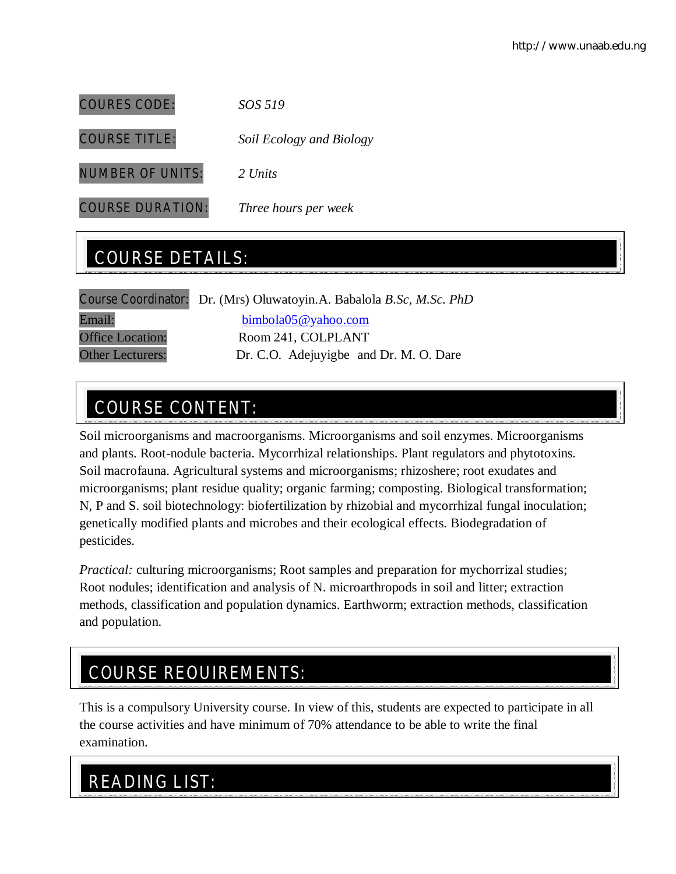COURES CODE: *SOS 519* COURSE TITLE: *Soil Ecology and Biology* NUMBER OF UNITS: *2 Units*

COURSE DURATION: *Three hours per week*

# COURSE DETAILS:

|                         | Course Coordinator: Dr. (Mrs) Oluwatoyin.A. Babalola B.Sc, M.Sc. PhD |  |
|-------------------------|----------------------------------------------------------------------|--|
| Email:                  | bimbola05@yahoo.com                                                  |  |
| <b>Office Location:</b> | Room 241, COLPLANT                                                   |  |
| <b>Other Lecturers:</b> | Dr. C.O. Adejuvigbe and Dr. M. O. Dare                               |  |
|                         |                                                                      |  |

# COURSE CONTENT:

Soil microorganisms and macroorganisms. Microorganisms and soil enzymes. Microorganisms and plants. Root-nodule bacteria. Mycorrhizal relationships. Plant regulators and phytotoxins. Soil macrofauna. Agricultural systems and microorganisms; rhizoshere; root exudates and microorganisms; plant residue quality; organic farming; composting. Biological transformation; N, P and S. soil biotechnology: biofertilization by rhizobial and mycorrhizal fungal inoculation; genetically modified plants and microbes and their ecological effects. Biodegradation of pesticides.

*Practical:* culturing microorganisms; Root samples and preparation for mychorrizal studies; Root nodules; identification and analysis of N. microarthropods in soil and litter; extraction methods, classification and population dynamics. Earthworm; extraction methods, classification and population.

# COURSE REQUIREMENTS:

This is a compulsory University course. In view of this, students are expected to participate in all the course activities and have minimum of 70% attendance to be able to write the final examination.

# READING LIST: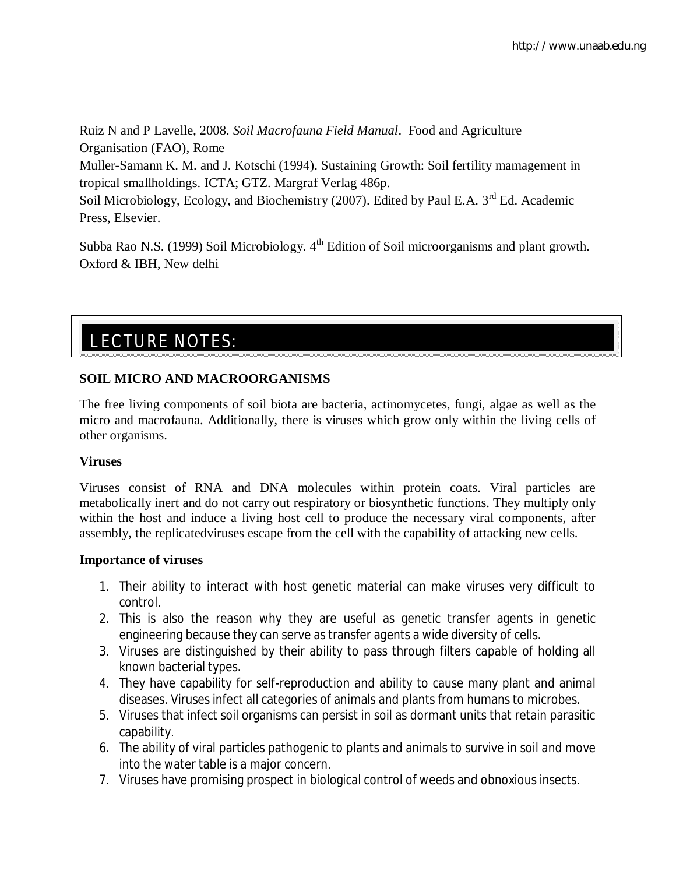Ruiz N and P Lavelle**,** 2008. *Soil Macrofauna Field Manual*. Food and Agriculture Organisation (FAO), Rome Muller-Samann K. M. and J. Kotschi (1994). Sustaining Growth: Soil fertility mamagement in tropical smallholdings. ICTA; GTZ. Margraf Verlag 486p. Soil Microbiology, Ecology, and Biochemistry (2007). Edited by Paul E.A. 3<sup>rd</sup> Ed. Academic Press, Elsevier.

Subba Rao N.S. (1999) Soil Microbiology. 4<sup>th</sup> Edition of Soil microorganisms and plant growth. Oxford & IBH, New delhi

# LECTURE NOTES:

# **SOIL MICRO AND MACROORGANISMS**

The free living components of soil biota are bacteria, actinomycetes, fungi, algae as well as the micro and macrofauna. Additionally, there is viruses which grow only within the living cells of other organisms.

# **Viruses**

Viruses consist of RNA and DNA molecules within protein coats. Viral particles are metabolically inert and do not carry out respiratory or biosynthetic functions. They multiply only within the host and induce a living host cell to produce the necessary viral components, after assembly, the replicatedviruses escape from the cell with the capability of attacking new cells.

# **Importance of viruses**

- 1. Their ability to interact with host genetic material can make viruses very difficult to control.
- 2. This is also the reason why they are useful as genetic transfer agents in genetic engineering because they can serve as transfer agents a wide diversity of cells.
- 3. Viruses are distinguished by their ability to pass through filters capable of holding all known bacterial types.
- 4. They have capability for self-reproduction and ability to cause many plant and animal diseases. Viruses infect all categories of animals and plants from humans to microbes.
- 5. Viruses that infect soil organisms can persist in soil as dormant units that retain parasitic capability.
- 6. The ability of viral particles pathogenic to plants and animals to survive in soil and move into the water table is a major concern.
- 7. Viruses have promising prospect in biological control of weeds and obnoxious insects.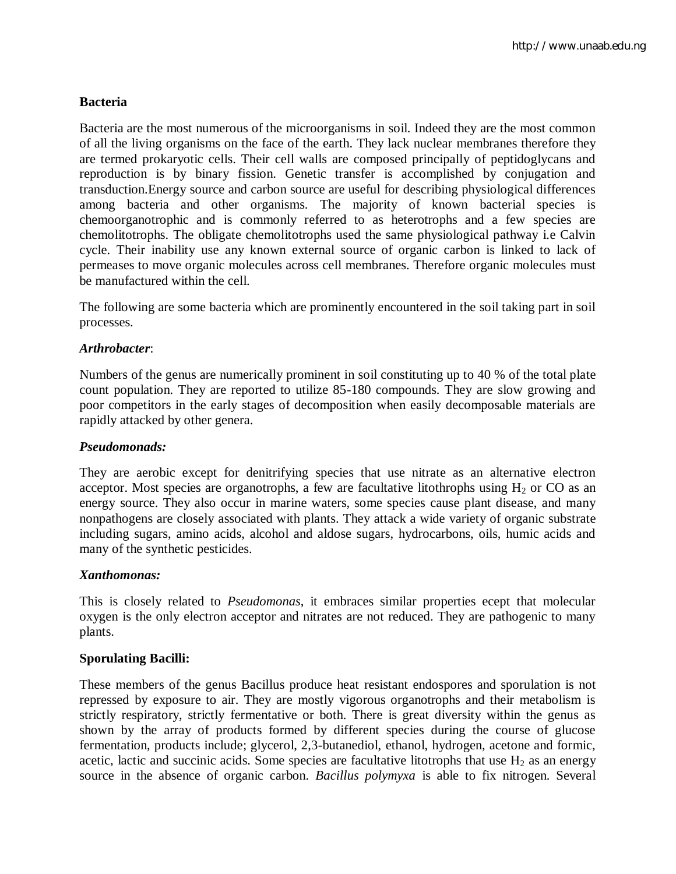# **Bacteria**

Bacteria are the most numerous of the microorganisms in soil. Indeed they are the most common of all the living organisms on the face of the earth. They lack nuclear membranes therefore they are termed prokaryotic cells. Their cell walls are composed principally of peptidoglycans and reproduction is by binary fission. Genetic transfer is accomplished by conjugation and transduction.Energy source and carbon source are useful for describing physiological differences among bacteria and other organisms. The majority of known bacterial species is chemoorganotrophic and is commonly referred to as heterotrophs and a few species are chemolitotrophs. The obligate chemolitotrophs used the same physiological pathway i.e Calvin cycle. Their inability use any known external source of organic carbon is linked to lack of permeases to move organic molecules across cell membranes. Therefore organic molecules must be manufactured within the cell.

The following are some bacteria which are prominently encountered in the soil taking part in soil processes.

## *Arthrobacter*:

Numbers of the genus are numerically prominent in soil constituting up to 40 % of the total plate count population. They are reported to utilize 85-180 compounds. They are slow growing and poor competitors in the early stages of decomposition when easily decomposable materials are rapidly attacked by other genera.

#### *Pseudomonads:*

They are aerobic except for denitrifying species that use nitrate as an alternative electron acceptor. Most species are organotrophs, a few are facultative litothrophs using  $H_2$  or CO as an energy source. They also occur in marine waters, some species cause plant disease, and many nonpathogens are closely associated with plants. They attack a wide variety of organic substrate including sugars, amino acids, alcohol and aldose sugars, hydrocarbons, oils, humic acids and many of the synthetic pesticides.

#### *Xanthomonas:*

This is closely related to *Pseudomonas*, it embraces similar properties ecept that molecular oxygen is the only electron acceptor and nitrates are not reduced. They are pathogenic to many plants.

## **Sporulating Bacilli:**

These members of the genus Bacillus produce heat resistant endospores and sporulation is not repressed by exposure to air. They are mostly vigorous organotrophs and their metabolism is strictly respiratory, strictly fermentative or both. There is great diversity within the genus as shown by the array of products formed by different species during the course of glucose fermentation, products include; glycerol, 2,3-butanediol, ethanol, hydrogen, acetone and formic, acetic, lactic and succinic acids. Some species are facultative litotrophs that use  $H_2$  as an energy source in the absence of organic carbon. *Bacillus polymyxa* is able to fix nitrogen. Several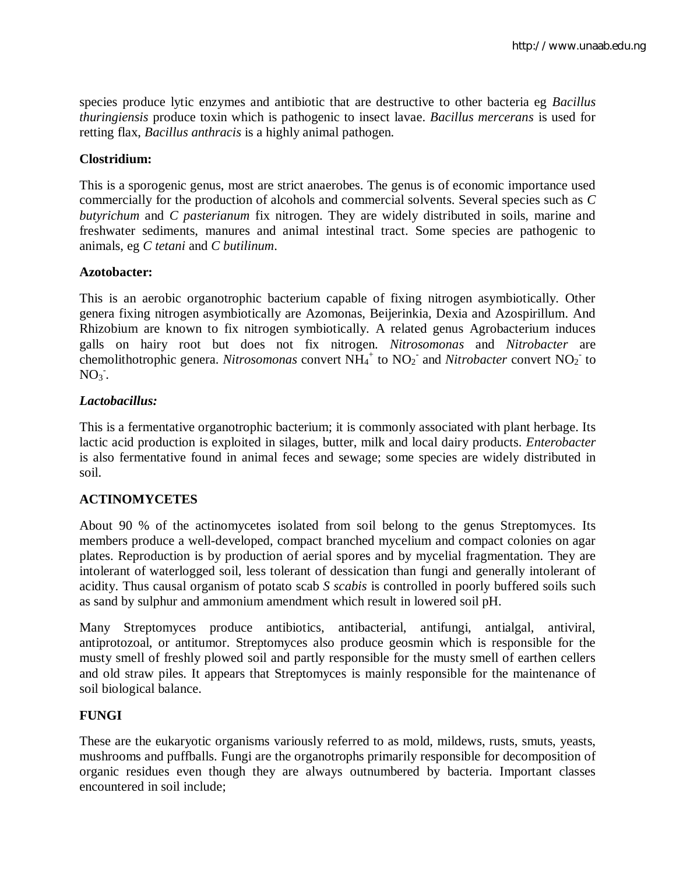species produce lytic enzymes and antibiotic that are destructive to other bacteria eg *Bacillus thuringiensis* produce toxin which is pathogenic to insect lavae. *Bacillus mercerans* is used for retting flax, *Bacillus anthracis* is a highly animal pathogen.

## **Clostridium:**

This is a sporogenic genus, most are strict anaerobes. The genus is of economic importance used commercially for the production of alcohols and commercial solvents. Several species such as *C butyrichum* and *C pasterianum* fix nitrogen. They are widely distributed in soils, marine and freshwater sediments, manures and animal intestinal tract. Some species are pathogenic to animals, eg *C tetani* and *C butilinum*.

## **Azotobacter:**

This is an aerobic organotrophic bacterium capable of fixing nitrogen asymbiotically. Other genera fixing nitrogen asymbiotically are Azomonas, Beijerinkia, Dexia and Azospirillum. And Rhizobium are known to fix nitrogen symbiotically. A related genus Agrobacterium induces galls on hairy root but does not fix nitrogen. *Nitrosomonas* and *Nitrobacter* are chemolithotrophic genera. *Nitrosomonas* convert  $NH_4^+$  to  $NO_2^-$  and *Nitrobacter* convert  $NO_2^-$  to  $NO<sub>3</sub>$ .

## *Lactobacillus:*

This is a fermentative organotrophic bacterium; it is commonly associated with plant herbage. Its lactic acid production is exploited in silages, butter, milk and local dairy products. *Enterobacter* is also fermentative found in animal feces and sewage; some species are widely distributed in soil.

# **ACTINOMYCETES**

About 90 % of the actinomycetes isolated from soil belong to the genus Streptomyces. Its members produce a well-developed, compact branched mycelium and compact colonies on agar plates. Reproduction is by production of aerial spores and by mycelial fragmentation. They are intolerant of waterlogged soil, less tolerant of dessication than fungi and generally intolerant of acidity. Thus causal organism of potato scab *S scabis* is controlled in poorly buffered soils such as sand by sulphur and ammonium amendment which result in lowered soil pH.

Many Streptomyces produce antibiotics, antibacterial, antifungi, antialgal, antiviral, antiprotozoal, or antitumor. Streptomyces also produce geosmin which is responsible for the musty smell of freshly plowed soil and partly responsible for the musty smell of earthen cellers and old straw piles. It appears that Streptomyces is mainly responsible for the maintenance of soil biological balance.

# **FUNGI**

These are the eukaryotic organisms variously referred to as mold, mildews, rusts, smuts, yeasts, mushrooms and puffballs. Fungi are the organotrophs primarily responsible for decomposition of organic residues even though they are always outnumbered by bacteria. Important classes encountered in soil include;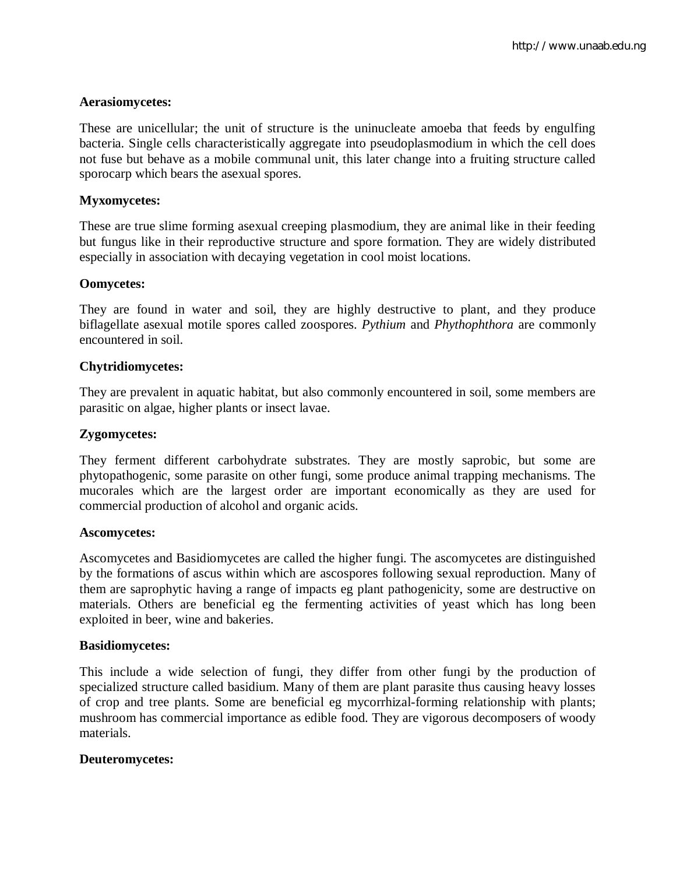#### **Aerasiomycetes:**

These are unicellular; the unit of structure is the uninucleate amoeba that feeds by engulfing bacteria. Single cells characteristically aggregate into pseudoplasmodium in which the cell does not fuse but behave as a mobile communal unit, this later change into a fruiting structure called sporocarp which bears the asexual spores.

### **Myxomycetes:**

These are true slime forming asexual creeping plasmodium, they are animal like in their feeding but fungus like in their reproductive structure and spore formation. They are widely distributed especially in association with decaying vegetation in cool moist locations.

#### **Oomycetes:**

They are found in water and soil, they are highly destructive to plant, and they produce biflagellate asexual motile spores called zoospores. *Pythium* and *Phythophthora* are commonly encountered in soil.

#### **Chytridiomycetes:**

They are prevalent in aquatic habitat, but also commonly encountered in soil, some members are parasitic on algae, higher plants or insect lavae.

#### **Zygomycetes:**

They ferment different carbohydrate substrates. They are mostly saprobic, but some are phytopathogenic, some parasite on other fungi, some produce animal trapping mechanisms. The mucorales which are the largest order are important economically as they are used for commercial production of alcohol and organic acids.

#### **Ascomycetes:**

Ascomycetes and Basidiomycetes are called the higher fungi. The ascomycetes are distinguished by the formations of ascus within which are ascospores following sexual reproduction. Many of them are saprophytic having a range of impacts eg plant pathogenicity, some are destructive on materials. Others are beneficial eg the fermenting activities of yeast which has long been exploited in beer, wine and bakeries.

#### **Basidiomycetes:**

This include a wide selection of fungi, they differ from other fungi by the production of specialized structure called basidium. Many of them are plant parasite thus causing heavy losses of crop and tree plants. Some are beneficial eg mycorrhizal-forming relationship with plants; mushroom has commercial importance as edible food. They are vigorous decomposers of woody materials.

#### **Deuteromycetes:**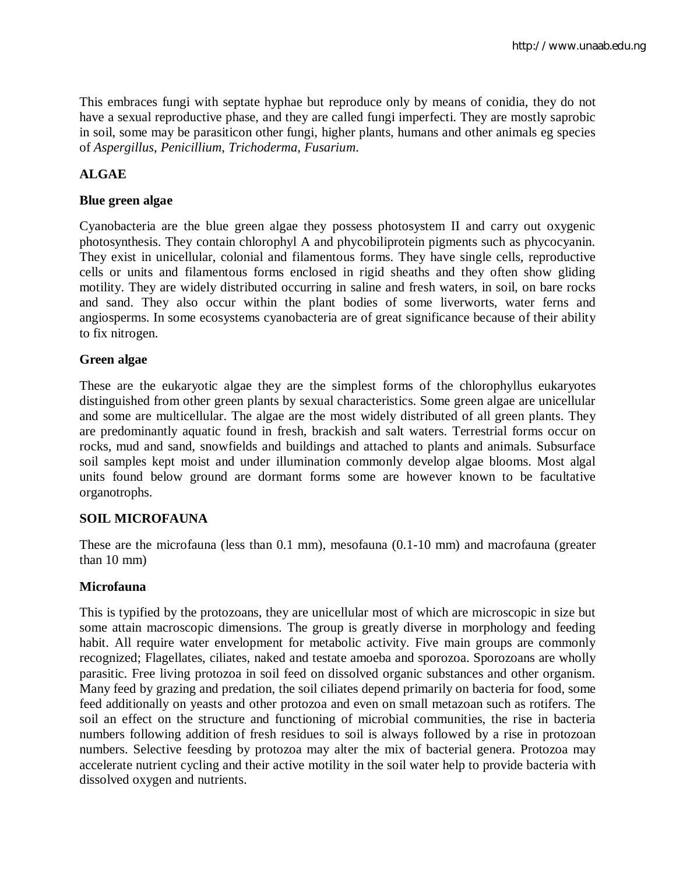This embraces fungi with septate hyphae but reproduce only by means of conidia, they do not have a sexual reproductive phase, and they are called fungi imperfecti. They are mostly saprobic in soil, some may be parasiticon other fungi, higher plants, humans and other animals eg species of *Aspergillus*, *Penicillium*, *Trichoderma*, *Fusarium*.

# **ALGAE**

# **Blue green algae**

Cyanobacteria are the blue green algae they possess photosystem II and carry out oxygenic photosynthesis. They contain chlorophyl A and phycobiliprotein pigments such as phycocyanin. They exist in unicellular, colonial and filamentous forms. They have single cells, reproductive cells or units and filamentous forms enclosed in rigid sheaths and they often show gliding motility. They are widely distributed occurring in saline and fresh waters, in soil, on bare rocks and sand. They also occur within the plant bodies of some liverworts, water ferns and angiosperms. In some ecosystems cyanobacteria are of great significance because of their ability to fix nitrogen.

# **Green algae**

These are the eukaryotic algae they are the simplest forms of the chlorophyllus eukaryotes distinguished from other green plants by sexual characteristics. Some green algae are unicellular and some are multicellular. The algae are the most widely distributed of all green plants. They are predominantly aquatic found in fresh, brackish and salt waters. Terrestrial forms occur on rocks, mud and sand, snowfields and buildings and attached to plants and animals. Subsurface soil samples kept moist and under illumination commonly develop algae blooms. Most algal units found below ground are dormant forms some are however known to be facultative organotrophs.

# **SOIL MICROFAUNA**

These are the microfauna (less than 0.1 mm), mesofauna (0.1-10 mm) and macrofauna (greater than 10 mm)

# **Microfauna**

This is typified by the protozoans, they are unicellular most of which are microscopic in size but some attain macroscopic dimensions. The group is greatly diverse in morphology and feeding habit. All require water envelopment for metabolic activity. Five main groups are commonly recognized; Flagellates, ciliates, naked and testate amoeba and sporozoa. Sporozoans are wholly parasitic. Free living protozoa in soil feed on dissolved organic substances and other organism. Many feed by grazing and predation, the soil ciliates depend primarily on bacteria for food, some feed additionally on yeasts and other protozoa and even on small metazoan such as rotifers. The soil an effect on the structure and functioning of microbial communities, the rise in bacteria numbers following addition of fresh residues to soil is always followed by a rise in protozoan numbers. Selective feesding by protozoa may alter the mix of bacterial genera. Protozoa may accelerate nutrient cycling and their active motility in the soil water help to provide bacteria with dissolved oxygen and nutrients.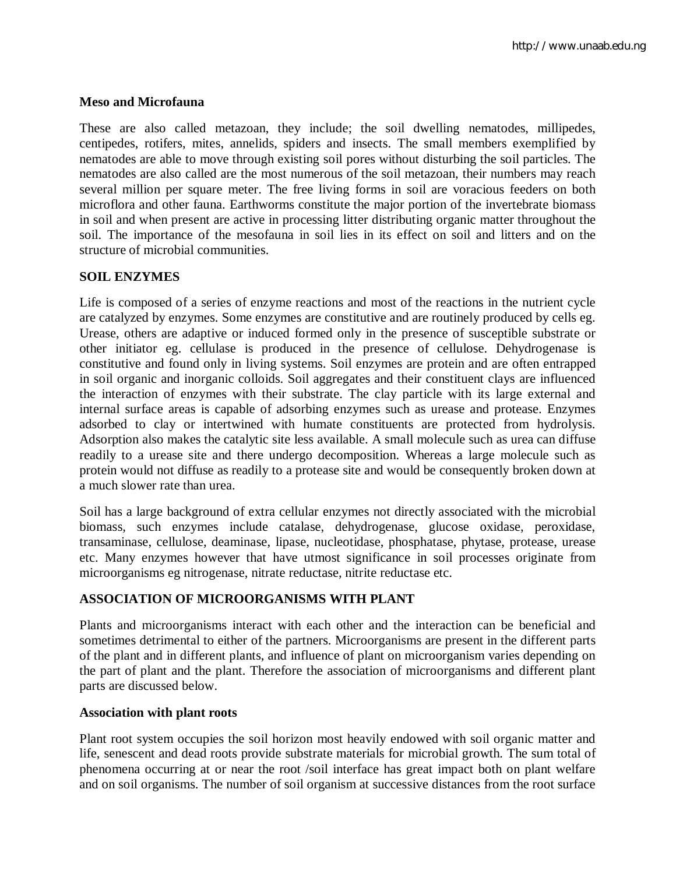## **Meso and Microfauna**

These are also called metazoan, they include; the soil dwelling nematodes, millipedes, centipedes, rotifers, mites, annelids, spiders and insects. The small members exemplified by nematodes are able to move through existing soil pores without disturbing the soil particles. The nematodes are also called are the most numerous of the soil metazoan, their numbers may reach several million per square meter. The free living forms in soil are voracious feeders on both microflora and other fauna. Earthworms constitute the major portion of the invertebrate biomass in soil and when present are active in processing litter distributing organic matter throughout the soil. The importance of the mesofauna in soil lies in its effect on soil and litters and on the structure of microbial communities.

## **SOIL ENZYMES**

Life is composed of a series of enzyme reactions and most of the reactions in the nutrient cycle are catalyzed by enzymes. Some enzymes are constitutive and are routinely produced by cells eg. Urease, others are adaptive or induced formed only in the presence of susceptible substrate or other initiator eg. cellulase is produced in the presence of cellulose. Dehydrogenase is constitutive and found only in living systems. Soil enzymes are protein and are often entrapped in soil organic and inorganic colloids. Soil aggregates and their constituent clays are influenced the interaction of enzymes with their substrate. The clay particle with its large external and internal surface areas is capable of adsorbing enzymes such as urease and protease. Enzymes adsorbed to clay or intertwined with humate constituents are protected from hydrolysis. Adsorption also makes the catalytic site less available. A small molecule such as urea can diffuse readily to a urease site and there undergo decomposition. Whereas a large molecule such as protein would not diffuse as readily to a protease site and would be consequently broken down at a much slower rate than urea.

Soil has a large background of extra cellular enzymes not directly associated with the microbial biomass, such enzymes include catalase, dehydrogenase, glucose oxidase, peroxidase, transaminase, cellulose, deaminase, lipase, nucleotidase, phosphatase, phytase, protease, urease etc. Many enzymes however that have utmost significance in soil processes originate from microorganisms eg nitrogenase, nitrate reductase, nitrite reductase etc.

## **ASSOCIATION OF MICROORGANISMS WITH PLANT**

Plants and microorganisms interact with each other and the interaction can be beneficial and sometimes detrimental to either of the partners. Microorganisms are present in the different parts of the plant and in different plants, and influence of plant on microorganism varies depending on the part of plant and the plant. Therefore the association of microorganisms and different plant parts are discussed below.

## **Association with plant roots**

Plant root system occupies the soil horizon most heavily endowed with soil organic matter and life, senescent and dead roots provide substrate materials for microbial growth. The sum total of phenomena occurring at or near the root /soil interface has great impact both on plant welfare and on soil organisms. The number of soil organism at successive distances from the root surface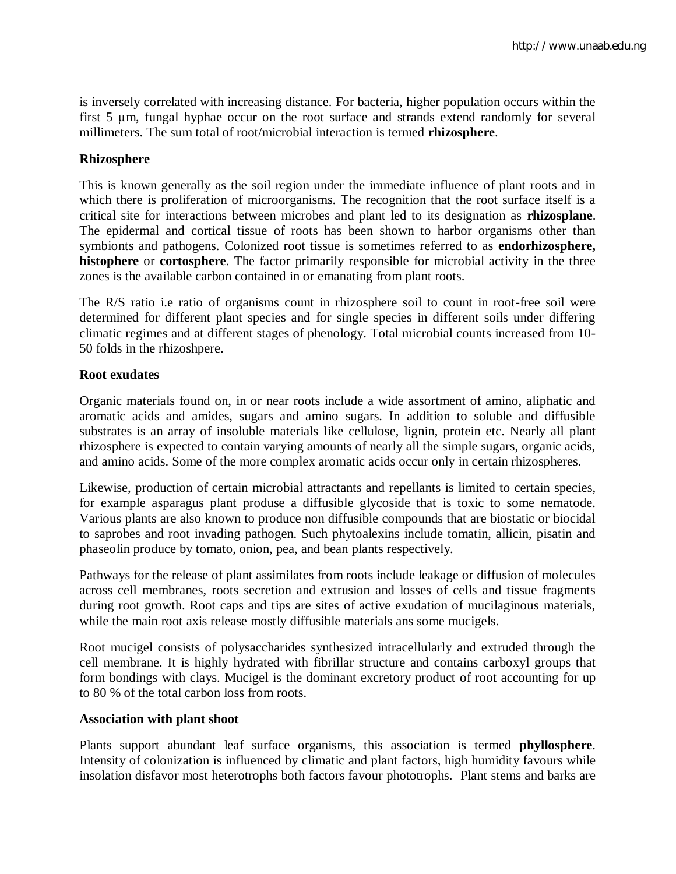is inversely correlated with increasing distance. For bacteria, higher population occurs within the first 5 µm, fungal hyphae occur on the root surface and strands extend randomly for several millimeters. The sum total of root/microbial interaction is termed **rhizosphere**.

## **Rhizosphere**

This is known generally as the soil region under the immediate influence of plant roots and in which there is proliferation of microorganisms. The recognition that the root surface itself is a critical site for interactions between microbes and plant led to its designation as **rhizosplane**. The epidermal and cortical tissue of roots has been shown to harbor organisms other than symbionts and pathogens. Colonized root tissue is sometimes referred to as **endorhizosphere, histophere** or **cortosphere**. The factor primarily responsible for microbial activity in the three zones is the available carbon contained in or emanating from plant roots.

The R/S ratio i.e ratio of organisms count in rhizosphere soil to count in root-free soil were determined for different plant species and for single species in different soils under differing climatic regimes and at different stages of phenology. Total microbial counts increased from 10- 50 folds in the rhizoshpere.

## **Root exudates**

Organic materials found on, in or near roots include a wide assortment of amino, aliphatic and aromatic acids and amides, sugars and amino sugars. In addition to soluble and diffusible substrates is an array of insoluble materials like cellulose, lignin, protein etc. Nearly all plant rhizosphere is expected to contain varying amounts of nearly all the simple sugars, organic acids, and amino acids. Some of the more complex aromatic acids occur only in certain rhizospheres.

Likewise, production of certain microbial attractants and repellants is limited to certain species, for example asparagus plant produse a diffusible glycoside that is toxic to some nematode. Various plants are also known to produce non diffusible compounds that are biostatic or biocidal to saprobes and root invading pathogen. Such phytoalexins include tomatin, allicin, pisatin and phaseolin produce by tomato, onion, pea, and bean plants respectively.

Pathways for the release of plant assimilates from roots include leakage or diffusion of molecules across cell membranes, roots secretion and extrusion and losses of cells and tissue fragments during root growth. Root caps and tips are sites of active exudation of mucilaginous materials, while the main root axis release mostly diffusible materials ans some mucigels.

Root mucigel consists of polysaccharides synthesized intracellularly and extruded through the cell membrane. It is highly hydrated with fibrillar structure and contains carboxyl groups that form bondings with clays. Mucigel is the dominant excretory product of root accounting for up to 80 % of the total carbon loss from roots.

## **Association with plant shoot**

Plants support abundant leaf surface organisms, this association is termed **phyllosphere**. Intensity of colonization is influenced by climatic and plant factors, high humidity favours while insolation disfavor most heterotrophs both factors favour phototrophs. Plant stems and barks are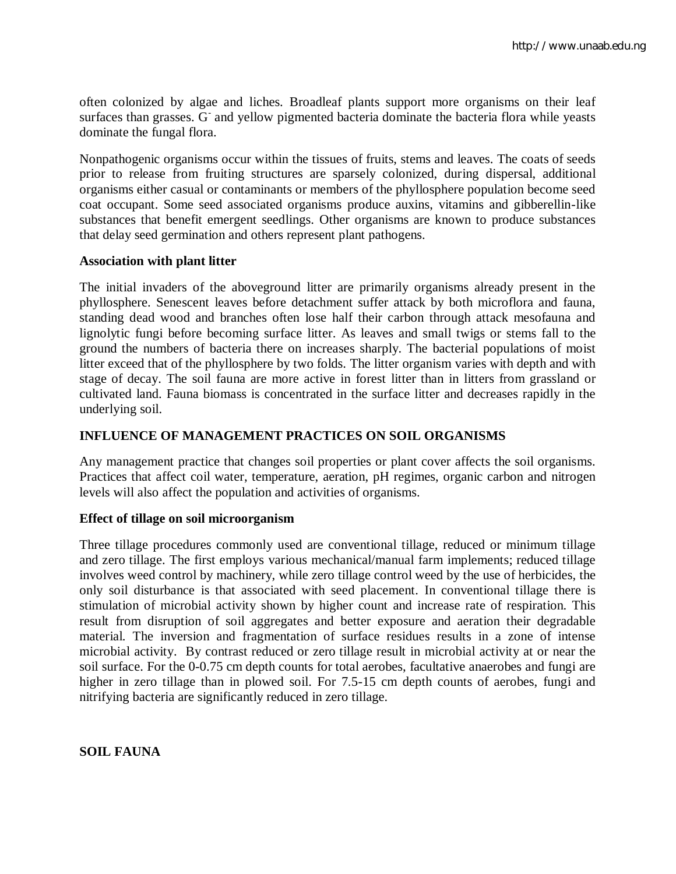often colonized by algae and liches. Broadleaf plants support more organisms on their leaf surfaces than grasses. G and yellow pigmented bacteria dominate the bacteria flora while yeasts dominate the fungal flora.

Nonpathogenic organisms occur within the tissues of fruits, stems and leaves. The coats of seeds prior to release from fruiting structures are sparsely colonized, during dispersal, additional organisms either casual or contaminants or members of the phyllosphere population become seed coat occupant. Some seed associated organisms produce auxins, vitamins and gibberellin-like substances that benefit emergent seedlings. Other organisms are known to produce substances that delay seed germination and others represent plant pathogens.

## **Association with plant litter**

The initial invaders of the aboveground litter are primarily organisms already present in the phyllosphere. Senescent leaves before detachment suffer attack by both microflora and fauna, standing dead wood and branches often lose half their carbon through attack mesofauna and lignolytic fungi before becoming surface litter. As leaves and small twigs or stems fall to the ground the numbers of bacteria there on increases sharply. The bacterial populations of moist litter exceed that of the phyllosphere by two folds. The litter organism varies with depth and with stage of decay. The soil fauna are more active in forest litter than in litters from grassland or cultivated land. Fauna biomass is concentrated in the surface litter and decreases rapidly in the underlying soil.

## **INFLUENCE OF MANAGEMENT PRACTICES ON SOIL ORGANISMS**

Any management practice that changes soil properties or plant cover affects the soil organisms. Practices that affect coil water, temperature, aeration, pH regimes, organic carbon and nitrogen levels will also affect the population and activities of organisms.

## **Effect of tillage on soil microorganism**

Three tillage procedures commonly used are conventional tillage, reduced or minimum tillage and zero tillage. The first employs various mechanical/manual farm implements; reduced tillage involves weed control by machinery, while zero tillage control weed by the use of herbicides, the only soil disturbance is that associated with seed placement. In conventional tillage there is stimulation of microbial activity shown by higher count and increase rate of respiration. This result from disruption of soil aggregates and better exposure and aeration their degradable material. The inversion and fragmentation of surface residues results in a zone of intense microbial activity. By contrast reduced or zero tillage result in microbial activity at or near the soil surface. For the 0-0.75 cm depth counts for total aerobes, facultative anaerobes and fungi are higher in zero tillage than in plowed soil. For 7.5-15 cm depth counts of aerobes, fungi and nitrifying bacteria are significantly reduced in zero tillage.

**SOIL FAUNA**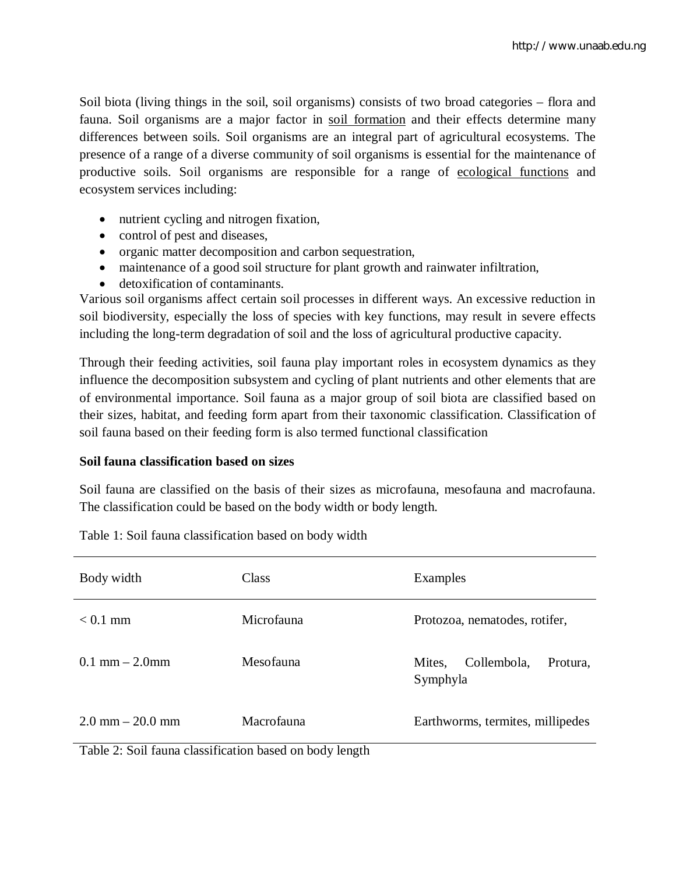Soil biota (living things in the soil, soil organisms) consists of two broad categories – flora and fauna. Soil organisms are a major factor in soil formation and their effects determine many differences between soils. Soil organisms are an integral part of agricultural ecosystems. The presence of a range of a diverse community of soil organisms is essential for the maintenance of productive soils. Soil organisms are responsible for a range of ecological functions and ecosystem services including:

- nutrient cycling and nitrogen fixation,
- control of pest and diseases,
- organic matter decomposition and carbon sequestration,
- maintenance of a good soil structure for plant growth and rainwater infiltration,
- detoxification of contaminants.

Various soil organisms affect certain soil processes in different ways. An excessive reduction in soil biodiversity, especially the loss of species with key functions, may result in severe effects including the long-term degradation of soil and the loss of agricultural productive capacity.

Through their feeding activities, soil fauna play important roles in ecosystem dynamics as they influence the decomposition subsystem and cycling of plant nutrients and other elements that are of environmental importance. Soil fauna as a major group of soil biota are classified based on their sizes, habitat, and feeding form apart from their taxonomic classification. Classification of soil fauna based on their feeding form is also termed functional classification

## **Soil fauna classification based on sizes**

Soil fauna are classified on the basis of their sizes as microfauna, mesofauna and macrofauna. The classification could be based on the body width or body length.

| Body width           | Class      | Examples                                      |
|----------------------|------------|-----------------------------------------------|
| $< 0.1$ mm           | Microfauna | Protozoa, nematodes, rotifer,                 |
| $0.1$ mm $- 2.0$ mm  | Mesofauna  | Collembola,<br>Mites,<br>Protura,<br>Symphyla |
| $2.0$ mm $- 20.0$ mm | Macrofauna | Earthworms, termites, millipedes              |

Table 1: Soil fauna classification based on body width

Table 2: Soil fauna classification based on body length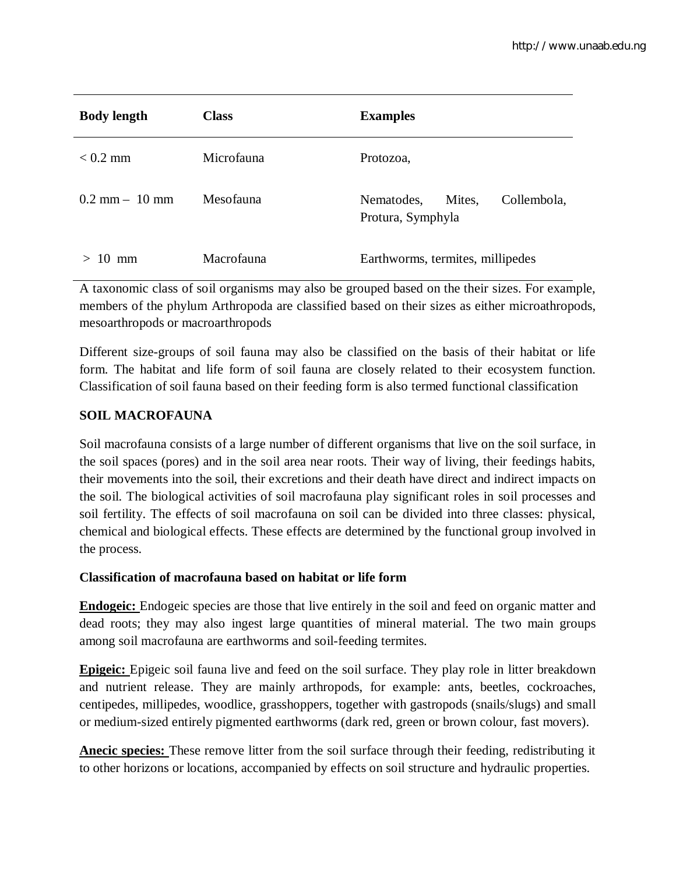| <b>Body length</b>        | <b>Class</b> | <b>Examples</b>                                          |
|---------------------------|--------------|----------------------------------------------------------|
| $< 0.2$ mm                | Microfauna   | Protozoa,                                                |
| $0.2$ mm $-10$ mm         | Mesofauna    | Collembola,<br>Mites.<br>Nematodes,<br>Protura, Symphyla |
| $10 \text{ mm}$<br>$\geq$ | Macrofauna   | Earthworms, termites, millipedes                         |

A taxonomic class of soil organisms may also be grouped based on the their sizes. For example, members of the phylum Arthropoda are classified based on their sizes as either microathropods, mesoarthropods or macroarthropods

Different size-groups of soil fauna may also be classified on the basis of their habitat or life form. The habitat and life form of soil fauna are closely related to their ecosystem function. Classification of soil fauna based on their feeding form is also termed functional classification

# **SOIL MACROFAUNA**

Soil macrofauna consists of a large number of different organisms that live on the soil surface, in the soil spaces (pores) and in the soil area near roots. Their way of living, their feedings habits, their movements into the soil, their excretions and their death have direct and indirect impacts on the soil. The biological activities of soil macrofauna play significant roles in soil processes and soil fertility. The effects of soil macrofauna on soil can be divided into three classes: physical, chemical and biological effects. These effects are determined by the functional group involved in the process.

# **Classification of macrofauna based on habitat or life form**

**Endogeic:** Endogeic species are those that live entirely in the soil and feed on organic matter and dead roots; they may also ingest large quantities of mineral material. The two main groups among soil macrofauna are earthworms and soil-feeding termites.

**Epigeic:** Epigeic soil fauna live and feed on the soil surface. They play role in litter breakdown and nutrient release. They are mainly arthropods, for example: ants, beetles, cockroaches, centipedes, millipedes, woodlice, grasshoppers, together with gastropods (snails/slugs) and small or medium-sized entirely pigmented earthworms (dark red, green or brown colour, fast movers).

**Anecic species:** These remove litter from the soil surface through their feeding, redistributing it to other horizons or locations, accompanied by effects on soil structure and hydraulic properties.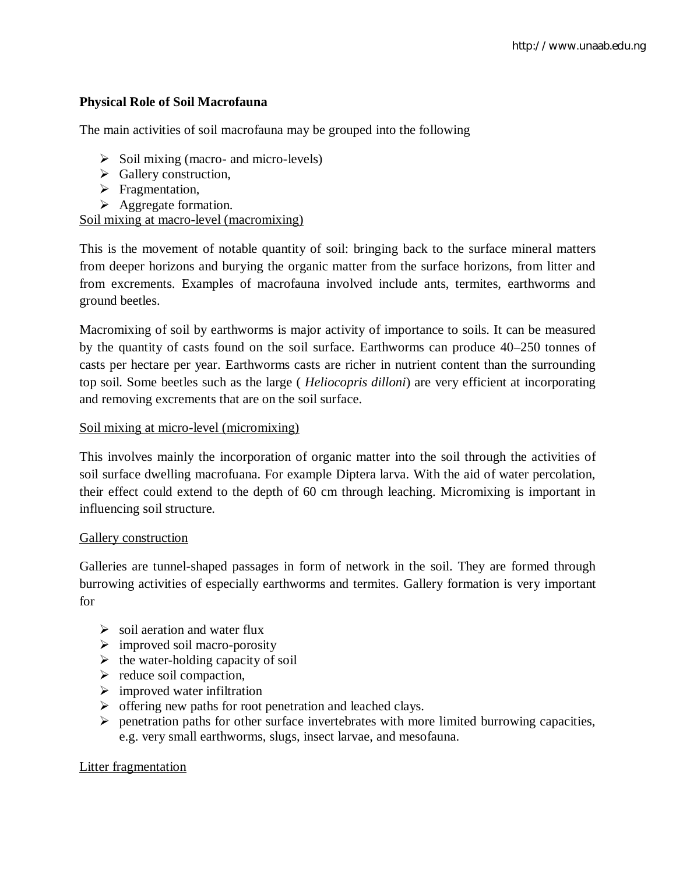# **Physical Role of Soil Macrofauna**

The main activities of soil macrofauna may be grouped into the following

- $\triangleright$  Soil mixing (macro- and micro-levels)
- $\triangleright$  Gallery construction,
- $\triangleright$  Fragmentation,
- $\triangleright$  Aggregate formation.

Soil mixing at macro-level (macromixing)

This is the movement of notable quantity of soil: bringing back to the surface mineral matters from deeper horizons and burying the organic matter from the surface horizons, from litter and from excrements. Examples of macrofauna involved include ants, termites, earthworms and ground beetles.

Macromixing of soil by earthworms is major activity of importance to soils. It can be measured by the quantity of casts found on the soil surface. Earthworms can produce 40–250 tonnes of casts per hectare per year. Earthworms casts are richer in nutrient content than the surrounding top soil. Some beetles such as the large ( *Heliocopris dilloni*) are very efficient at incorporating and removing excrements that are on the soil surface.

## Soil mixing at micro-level (micromixing)

This involves mainly the incorporation of organic matter into the soil through the activities of soil surface dwelling macrofuana. For example Diptera larva. With the aid of water percolation, their effect could extend to the depth of 60 cm through leaching. Micromixing is important in influencing soil structure.

## Gallery construction

Galleries are tunnel-shaped passages in form of network in the soil. They are formed through burrowing activities of especially earthworms and termites. Gallery formation is very important for

- $\triangleright$  soil aeration and water flux
- $\triangleright$  improved soil macro-porosity
- $\triangleright$  the water-holding capacity of soil
- $\triangleright$  reduce soil compaction,
- $\triangleright$  improved water infiltration
- $\triangleright$  offering new paths for root penetration and leached clays.
- $\triangleright$  penetration paths for other surface invertebrates with more limited burrowing capacities, e.g. very small earthworms, slugs, insect larvae, and mesofauna.

## Litter fragmentation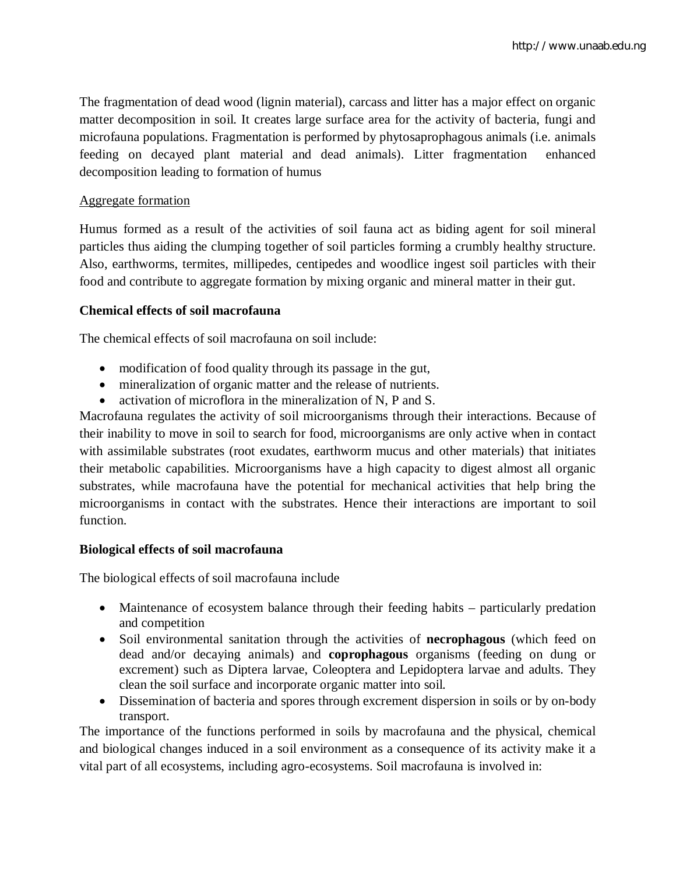The fragmentation of dead wood (lignin material), carcass and litter has a major effect on organic matter decomposition in soil. It creates large surface area for the activity of bacteria, fungi and microfauna populations. Fragmentation is performed by phytosaprophagous animals (i.e. animals feeding on decayed plant material and dead animals). Litter fragmentation enhanced decomposition leading to formation of humus

## Aggregate formation

Humus formed as a result of the activities of soil fauna act as biding agent for soil mineral particles thus aiding the clumping together of soil particles forming a crumbly healthy structure. Also, earthworms, termites, millipedes, centipedes and woodlice ingest soil particles with their food and contribute to aggregate formation by mixing organic and mineral matter in their gut.

## **Chemical effects of soil macrofauna**

The chemical effects of soil macrofauna on soil include:

- modification of food quality through its passage in the gut,
- mineralization of organic matter and the release of nutrients.
- activation of microflora in the mineralization of N, P and S.

Macrofauna regulates the activity of soil microorganisms through their interactions. Because of their inability to move in soil to search for food, microorganisms are only active when in contact with assimilable substrates (root exudates, earthworm mucus and other materials) that initiates their metabolic capabilities. Microorganisms have a high capacity to digest almost all organic substrates, while macrofauna have the potential for mechanical activities that help bring the microorganisms in contact with the substrates. Hence their interactions are important to soil function.

# **Biological effects of soil macrofauna**

The biological effects of soil macrofauna include

- Maintenance of ecosystem balance through their feeding habits particularly predation and competition
- Soil environmental sanitation through the activities of **necrophagous** (which feed on dead and/or decaying animals) and **coprophagous** organisms (feeding on dung or excrement) such as Diptera larvae, Coleoptera and Lepidoptera larvae and adults. They clean the soil surface and incorporate organic matter into soil.
- Dissemination of bacteria and spores through excrement dispersion in soils or by on-body transport.

The importance of the functions performed in soils by macrofauna and the physical, chemical and biological changes induced in a soil environment as a consequence of its activity make it a vital part of all ecosystems, including agro-ecosystems. Soil macrofauna is involved in: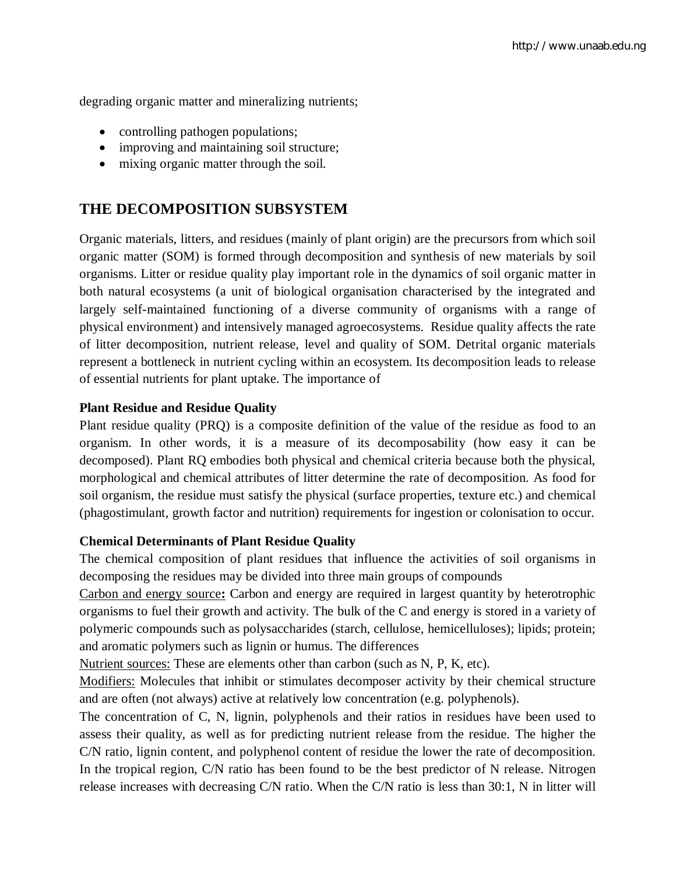degrading organic matter and mineralizing nutrients;

- controlling pathogen populations;
- improving and maintaining soil structure;
- mixing organic matter through the soil.

# **THE DECOMPOSITION SUBSYSTEM**

Organic materials, litters, and residues (mainly of plant origin) are the precursors from which soil organic matter (SOM) is formed through decomposition and synthesis of new materials by soil organisms. Litter or residue quality play important role in the dynamics of soil organic matter in both natural ecosystems (a unit of biological organisation characterised by the integrated and largely self-maintained functioning of a diverse community of organisms with a range of physical environment) and intensively managed agroecosystems. Residue quality affects the rate of litter decomposition, nutrient release, level and quality of SOM. Detrital organic materials represent a bottleneck in nutrient cycling within an ecosystem. Its decomposition leads to release of essential nutrients for plant uptake. The importance of

#### **Plant Residue and Residue Quality**

Plant residue quality (PRQ) is a composite definition of the value of the residue as food to an organism. In other words, it is a measure of its decomposability (how easy it can be decomposed). Plant RQ embodies both physical and chemical criteria because both the physical, morphological and chemical attributes of litter determine the rate of decomposition. As food for soil organism, the residue must satisfy the physical (surface properties, texture etc.) and chemical (phagostimulant, growth factor and nutrition) requirements for ingestion or colonisation to occur.

#### **Chemical Determinants of Plant Residue Quality**

The chemical composition of plant residues that influence the activities of soil organisms in decomposing the residues may be divided into three main groups of compounds

Carbon and energy source**:** Carbon and energy are required in largest quantity by heterotrophic organisms to fuel their growth and activity. The bulk of the C and energy is stored in a variety of polymeric compounds such as polysaccharides (starch, cellulose, hemicelluloses); lipids; protein; and aromatic polymers such as lignin or humus. The differences

Nutrient sources: These are elements other than carbon (such as N, P, K, etc).

Modifiers: Molecules that inhibit or stimulates decomposer activity by their chemical structure and are often (not always) active at relatively low concentration (e.g. polyphenols).

The concentration of C, N, lignin, polyphenols and their ratios in residues have been used to assess their quality, as well as for predicting nutrient release from the residue. The higher the C/N ratio, lignin content, and polyphenol content of residue the lower the rate of decomposition. In the tropical region, C/N ratio has been found to be the best predictor of N release. Nitrogen release increases with decreasing C/N ratio. When the C/N ratio is less than 30:1, N in litter will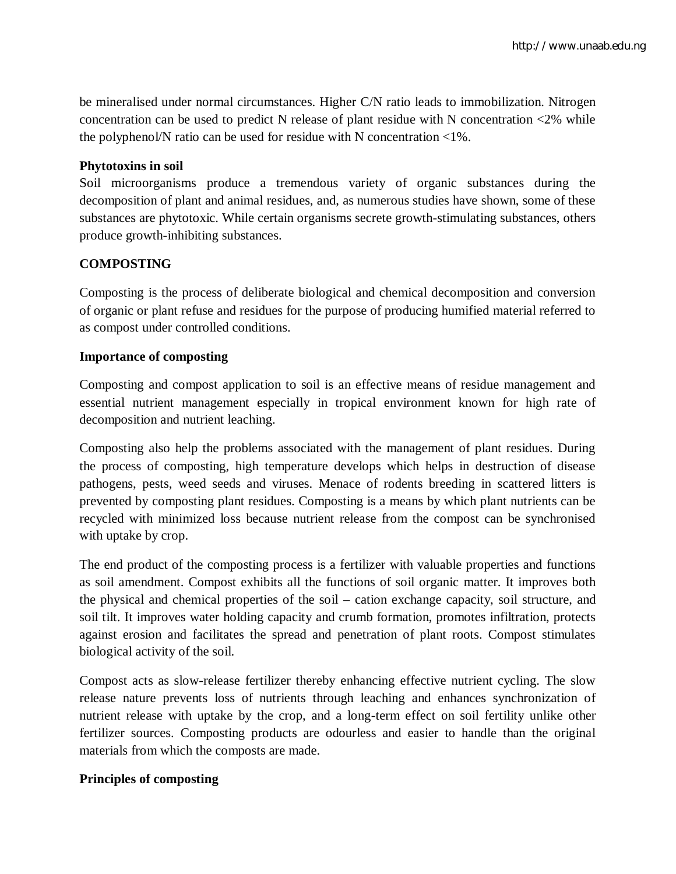be mineralised under normal circumstances. Higher C/N ratio leads to immobilization. Nitrogen concentration can be used to predict N release of plant residue with N concentration  $\langle 2\%$  while the polyphenol/N ratio can be used for residue with N concentration <1%.

## **Phytotoxins in soil**

Soil microorganisms produce a tremendous variety of organic substances during the decomposition of plant and animal residues, and, as numerous studies have shown, some of these substances are phytotoxic. While certain organisms secrete growth-stimulating substances, others produce growth-inhibiting substances.

# **COMPOSTING**

Composting is the process of deliberate biological and chemical decomposition and conversion of organic or plant refuse and residues for the purpose of producing humified material referred to as compost under controlled conditions.

# **Importance of composting**

Composting and compost application to soil is an effective means of residue management and essential nutrient management especially in tropical environment known for high rate of decomposition and nutrient leaching.

Composting also help the problems associated with the management of plant residues. During the process of composting, high temperature develops which helps in destruction of disease pathogens, pests, weed seeds and viruses. Menace of rodents breeding in scattered litters is prevented by composting plant residues. Composting is a means by which plant nutrients can be recycled with minimized loss because nutrient release from the compost can be synchronised with uptake by crop.

The end product of the composting process is a fertilizer with valuable properties and functions as soil amendment. Compost exhibits all the functions of soil organic matter. It improves both the physical and chemical properties of the soil – cation exchange capacity, soil structure, and soil tilt. It improves water holding capacity and crumb formation, promotes infiltration, protects against erosion and facilitates the spread and penetration of plant roots. Compost stimulates biological activity of the soil.

Compost acts as slow-release fertilizer thereby enhancing effective nutrient cycling. The slow release nature prevents loss of nutrients through leaching and enhances synchronization of nutrient release with uptake by the crop, and a long-term effect on soil fertility unlike other fertilizer sources. Composting products are odourless and easier to handle than the original materials from which the composts are made.

# **Principles of composting**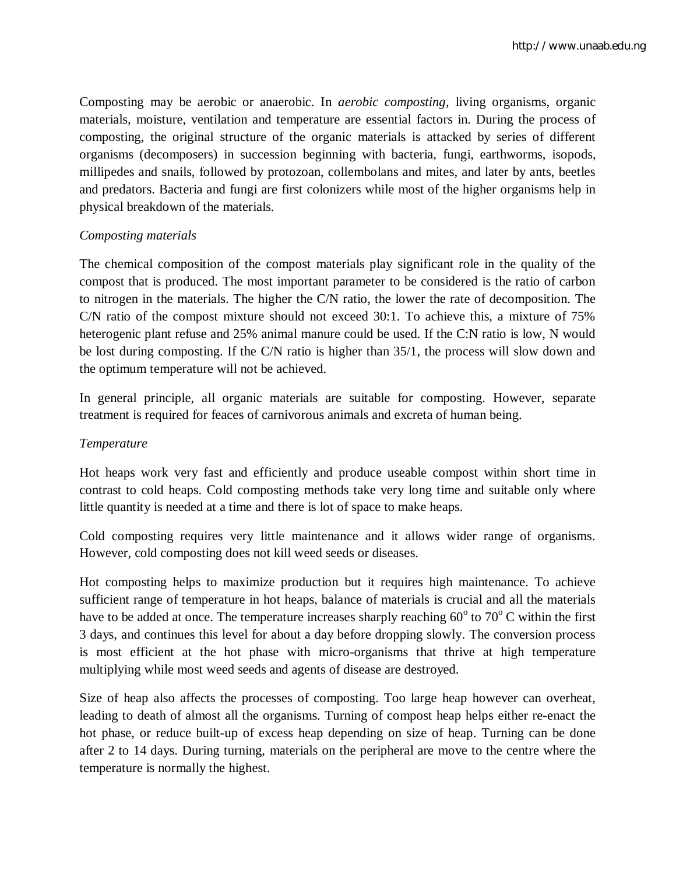Composting may be aerobic or anaerobic. In *aerobic composting*, living organisms, organic materials, moisture, ventilation and temperature are essential factors in. During the process of composting, the original structure of the organic materials is attacked by series of different organisms (decomposers) in succession beginning with bacteria, fungi, earthworms, isopods, millipedes and snails, followed by protozoan, collembolans and mites, and later by ants, beetles and predators. Bacteria and fungi are first colonizers while most of the higher organisms help in physical breakdown of the materials.

## *Composting materials*

The chemical composition of the compost materials play significant role in the quality of the compost that is produced. The most important parameter to be considered is the ratio of carbon to nitrogen in the materials. The higher the C/N ratio, the lower the rate of decomposition. The C/N ratio of the compost mixture should not exceed 30:1. To achieve this, a mixture of 75% heterogenic plant refuse and 25% animal manure could be used. If the C:N ratio is low, N would be lost during composting. If the C/N ratio is higher than 35/1, the process will slow down and the optimum temperature will not be achieved.

In general principle, all organic materials are suitable for composting. However, separate treatment is required for feaces of carnivorous animals and excreta of human being.

## *Temperature*

Hot heaps work very fast and efficiently and produce useable compost within short time in contrast to cold heaps. Cold composting methods take very long time and suitable only where little quantity is needed at a time and there is lot of space to make heaps.

Cold composting requires very little maintenance and it allows wider range of organisms. However, cold composting does not kill weed seeds or diseases.

Hot composting helps to maximize production but it requires high maintenance. To achieve sufficient range of temperature in hot heaps, balance of materials is crucial and all the materials have to be added at once. The temperature increases sharply reaching  $60^{\circ}$  to  $70^{\circ}$  C within the first 3 days, and continues this level for about a day before dropping slowly. The conversion process is most efficient at the hot phase with micro-organisms that thrive at high temperature multiplying while most weed seeds and agents of disease are destroyed.

Size of heap also affects the processes of composting. Too large heap however can overheat, leading to death of almost all the organisms. Turning of compost heap helps either re-enact the hot phase, or reduce built-up of excess heap depending on size of heap. Turning can be done after 2 to 14 days. During turning, materials on the peripheral are move to the centre where the temperature is normally the highest.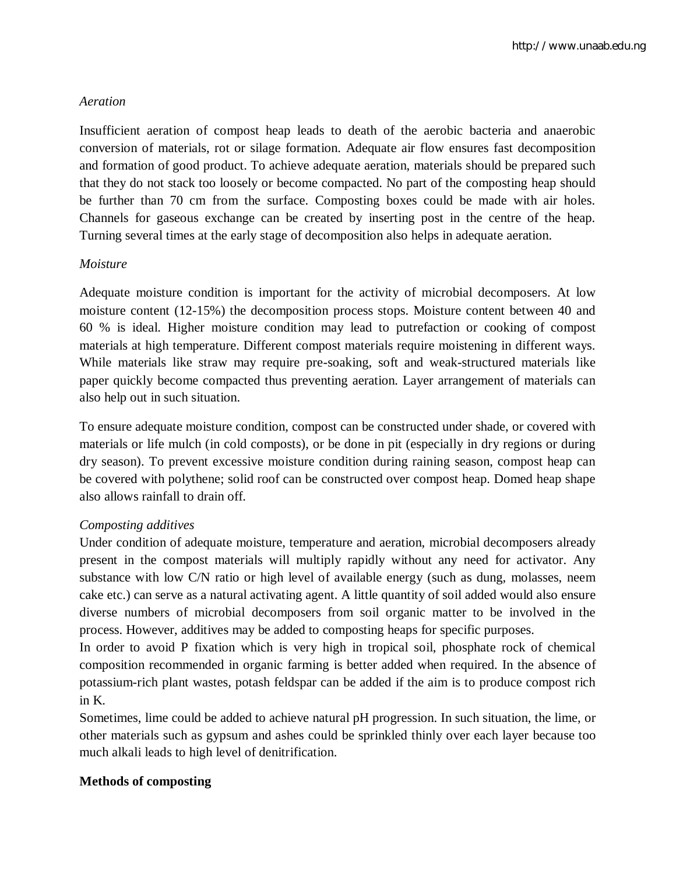# *Aeration*

Insufficient aeration of compost heap leads to death of the aerobic bacteria and anaerobic conversion of materials, rot or silage formation. Adequate air flow ensures fast decomposition and formation of good product. To achieve adequate aeration, materials should be prepared such that they do not stack too loosely or become compacted. No part of the composting heap should be further than 70 cm from the surface. Composting boxes could be made with air holes. Channels for gaseous exchange can be created by inserting post in the centre of the heap. Turning several times at the early stage of decomposition also helps in adequate aeration.

# *Moisture*

Adequate moisture condition is important for the activity of microbial decomposers. At low moisture content (12-15%) the decomposition process stops. Moisture content between 40 and 60 % is ideal. Higher moisture condition may lead to putrefaction or cooking of compost materials at high temperature. Different compost materials require moistening in different ways. While materials like straw may require pre-soaking, soft and weak-structured materials like paper quickly become compacted thus preventing aeration. Layer arrangement of materials can also help out in such situation.

To ensure adequate moisture condition, compost can be constructed under shade, or covered with materials or life mulch (in cold composts), or be done in pit (especially in dry regions or during dry season). To prevent excessive moisture condition during raining season, compost heap can be covered with polythene; solid roof can be constructed over compost heap. Domed heap shape also allows rainfall to drain off.

# *Composting additives*

Under condition of adequate moisture, temperature and aeration, microbial decomposers already present in the compost materials will multiply rapidly without any need for activator. Any substance with low C/N ratio or high level of available energy (such as dung, molasses, neem cake etc.) can serve as a natural activating agent. A little quantity of soil added would also ensure diverse numbers of microbial decomposers from soil organic matter to be involved in the process. However, additives may be added to composting heaps for specific purposes.

In order to avoid P fixation which is very high in tropical soil, phosphate rock of chemical composition recommended in organic farming is better added when required. In the absence of potassium-rich plant wastes, potash feldspar can be added if the aim is to produce compost rich in K.

Sometimes, lime could be added to achieve natural pH progression. In such situation, the lime, or other materials such as gypsum and ashes could be sprinkled thinly over each layer because too much alkali leads to high level of denitrification.

## **Methods of composting**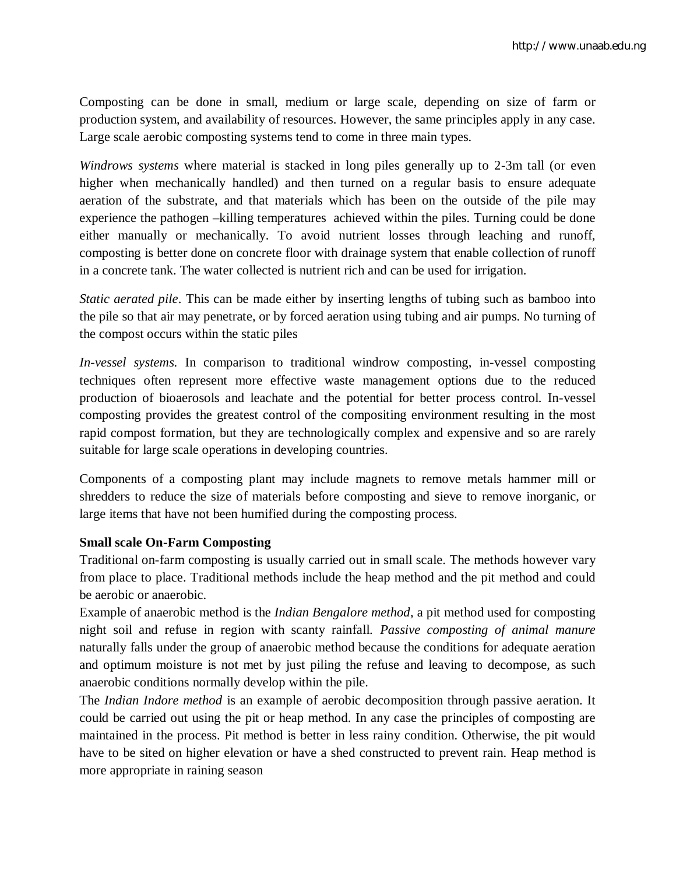Composting can be done in small, medium or large scale, depending on size of farm or production system, and availability of resources. However, the same principles apply in any case. Large scale aerobic composting systems tend to come in three main types.

*Windrows systems* where material is stacked in long piles generally up to 2-3m tall (or even higher when mechanically handled) and then turned on a regular basis to ensure adequate aeration of the substrate, and that materials which has been on the outside of the pile may experience the pathogen –killing temperatures achieved within the piles. Turning could be done either manually or mechanically. To avoid nutrient losses through leaching and runoff, composting is better done on concrete floor with drainage system that enable collection of runoff in a concrete tank. The water collected is nutrient rich and can be used for irrigation.

*Static aerated pile*. This can be made either by inserting lengths of tubing such as bamboo into the pile so that air may penetrate, or by forced aeration using tubing and air pumps. No turning of the compost occurs within the static piles

*In-vessel systems.* In comparison to traditional windrow composting, in-vessel composting techniques often represent more effective waste management options due to the reduced production of bioaerosols and leachate and the potential for better process control. In-vessel composting provides the greatest control of the compositing environment resulting in the most rapid compost formation, but they are technologically complex and expensive and so are rarely suitable for large scale operations in developing countries.

Components of a composting plant may include magnets to remove metals hammer mill or shredders to reduce the size of materials before composting and sieve to remove inorganic, or large items that have not been humified during the composting process.

# **Small scale On-Farm Composting**

Traditional on-farm composting is usually carried out in small scale. The methods however vary from place to place. Traditional methods include the heap method and the pit method and could be aerobic or anaerobic.

Example of anaerobic method is the *Indian Bengalore method*, a pit method used for composting night soil and refuse in region with scanty rainfall. *Passive composting of animal manure* naturally falls under the group of anaerobic method because the conditions for adequate aeration and optimum moisture is not met by just piling the refuse and leaving to decompose, as such anaerobic conditions normally develop within the pile.

The *Indian Indore method* is an example of aerobic decomposition through passive aeration. It could be carried out using the pit or heap method. In any case the principles of composting are maintained in the process. Pit method is better in less rainy condition. Otherwise, the pit would have to be sited on higher elevation or have a shed constructed to prevent rain. Heap method is more appropriate in raining season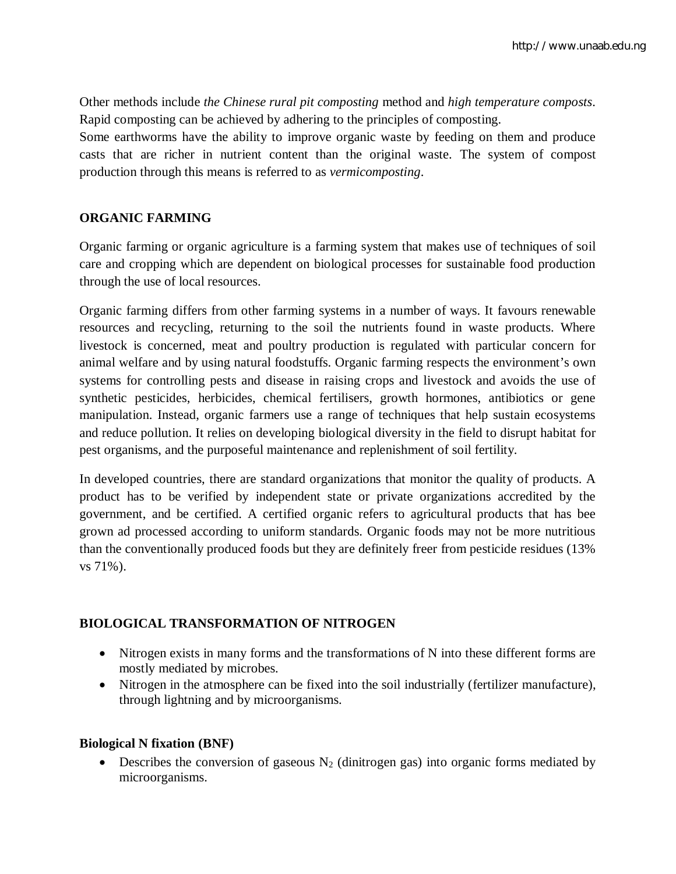Other methods include *the Chinese rural pit composting* method and *high temperature composts*. Rapid composting can be achieved by adhering to the principles of composting.

Some earthworms have the ability to improve organic waste by feeding on them and produce casts that are richer in nutrient content than the original waste. The system of compost production through this means is referred to as *vermicomposting*.

# **ORGANIC FARMING**

Organic farming or organic agriculture is a farming system that makes use of techniques of soil care and cropping which are dependent on biological processes for sustainable food production through the use of local resources.

Organic farming differs from other farming systems in a number of ways. It favours renewable resources and recycling, returning to the soil the nutrients found in waste products. Where livestock is concerned, meat and poultry production is regulated with particular concern for animal welfare and by using natural foodstuffs. Organic farming respects the environment's own systems for controlling pests and disease in raising crops and livestock and avoids the use of synthetic pesticides, herbicides, chemical fertilisers, growth hormones, antibiotics or gene manipulation. Instead, organic farmers use a range of techniques that help sustain ecosystems and reduce pollution. It relies on developing biological diversity in the field to disrupt habitat for pest organisms, and the purposeful maintenance and replenishment of soil fertility.

In developed countries, there are standard organizations that monitor the quality of products. A product has to be verified by independent state or private organizations accredited by the government, and be certified. A certified organic refers to agricultural products that has bee grown ad processed according to uniform standards. Organic foods may not be more nutritious than the conventionally produced foods but they are definitely freer from pesticide residues (13% vs 71%).

# **BIOLOGICAL TRANSFORMATION OF NITROGEN**

- Nitrogen exists in many forms and the transformations of N into these different forms are mostly mediated by microbes.
- Nitrogen in the atmosphere can be fixed into the soil industrially (fertilizer manufacture), through lightning and by microorganisms.

# **Biological N fixation (BNF)**

• Describes the conversion of gaseous  $N_2$  (dinitrogen gas) into organic forms mediated by microorganisms.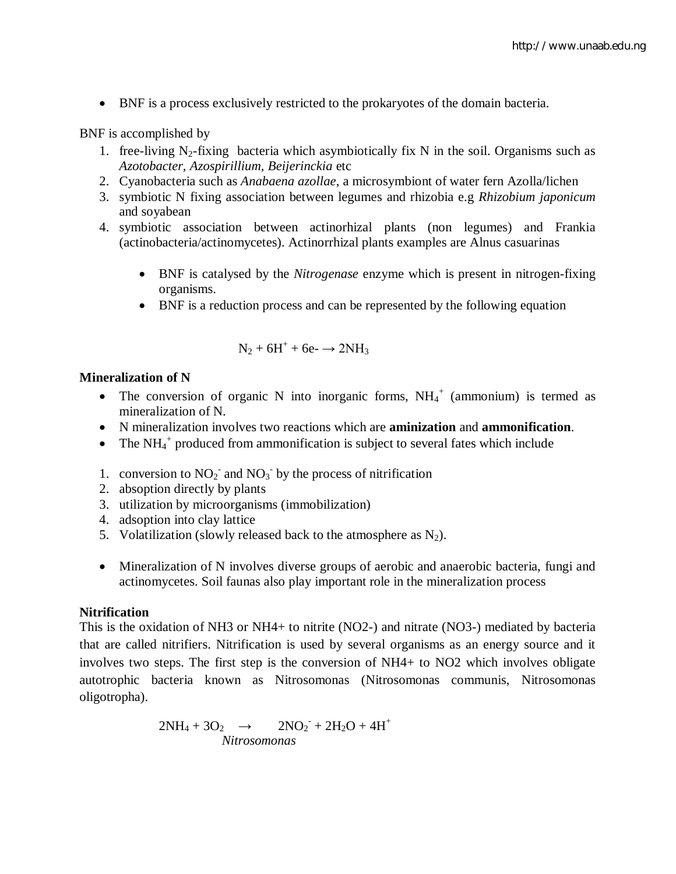BNF is a process exclusively restricted to the prokaryotes of the domain bacteria.

## BNF is accomplished by

- 1. free-living  $N_2$ -fixing bacteria which asymbiotically fix N in the soil. Organisms such as *Azotobacter, Azospirillium, Beijerinckia* etc
- 2. Cyanobacteria such as *Anabaena azollae*, a microsymbiont of water fern Azolla/lichen
- 3. symbiotic N fixing association between legumes and rhizobia e.g *Rhizobium japonicum* and soyabean
- 4. symbiotic association between actinorhizal plants (non legumes) and Frankia (actinobacteria/actinomycetes). Actinorrhizal plants examples are Alnus casuarinas
	- BNF is catalysed by the *Nitrogenase* enzyme which is present in nitrogen-fixing organisms.
	- BNF is a reduction process and can be represented by the following equation

$$
N_2 + 6H^+ + 6e^- \rightarrow 2NH_3
$$

## **Mineralization of N**

- The conversion of organic N into inorganic forms,  $NH_4^+$  (ammonium) is termed as mineralization of N.
- N mineralization involves two reactions which are **aminization** and **ammonification**.
- The  $NH_4$ <sup>+</sup> produced from ammonification is subject to several fates which include
- 1. conversion to  $NO_2^-$  and  $NO_3^-$  by the process of nitrification
- 2. absoption directly by plants
- 3. utilization by microorganisms (immobilization)
- 4. adsoption into clay lattice
- 5. Volatilization (slowly released back to the atmosphere as  $N_2$ ).
- Mineralization of N involves diverse groups of aerobic and anaerobic bacteria, fungi and actinomycetes. Soil faunas also play important role in the mineralization process

## **Nitrification**

This is the oxidation of NH3 or NH4+ to nitrite (NO2-) and nitrate (NO3-) mediated by bacteria that are called nitrifiers. Nitrification is used by several organisms as an energy source and it involves two steps. The first step is the conversion of NH4+ to NO2 which involves obligate autotrophic bacteria known as Nitrosomonas (Nitrosomonas communis, Nitrosomonas oligotropha).

$$
2NH_4 + 3O_2 \rightarrow 2NO_2 + 2H_2O + 4H^+
$$
  
*Nitrosomonas*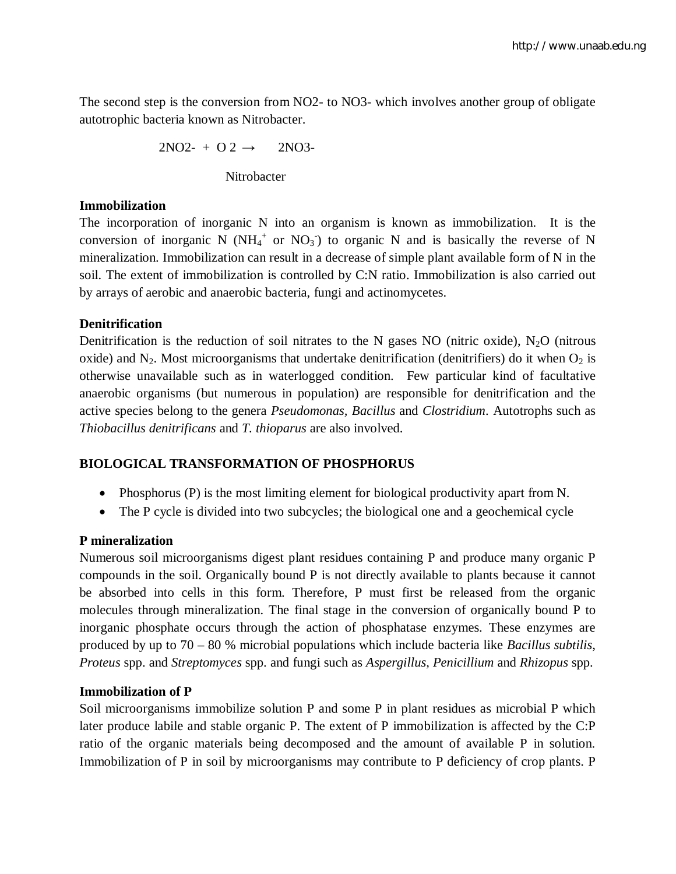The second step is the conversion from NO2- to NO3- which involves another group of obligate autotrophic bacteria known as Nitrobacter.

$$
2NO2- + O 2 \rightarrow 2NO3-
$$

**Nitrobacter** 

# **Immobilization**

The incorporation of inorganic N into an organism is known as immobilization. It is the conversion of inorganic N ( $NH_4^+$  or  $NO_3^-$ ) to organic N and is basically the reverse of N mineralization. Immobilization can result in a decrease of simple plant available form of N in the soil. The extent of immobilization is controlled by C:N ratio. Immobilization is also carried out by arrays of aerobic and anaerobic bacteria, fungi and actinomycetes.

# **Denitrification**

Denitrification is the reduction of soil nitrates to the N gases NO (nitric oxide),  $N_2O$  (nitrous oxide) and  $N_2$ . Most microorganisms that undertake denitrification (denitrifiers) do it when  $O_2$  is otherwise unavailable such as in waterlogged condition. Few particular kind of facultative anaerobic organisms (but numerous in population) are responsible for denitrification and the active species belong to the genera *Pseudomonas, Bacillus* and *Clostridium*. Autotrophs such as *Thiobacillus denitrificans* and *T. thioparus* are also involved.

# **BIOLOGICAL TRANSFORMATION OF PHOSPHORUS**

- Phosphorus (P) is the most limiting element for biological productivity apart from N.
- The P cycle is divided into two subcycles; the biological one and a geochemical cycle

# **P mineralization**

Numerous soil microorganisms digest plant residues containing P and produce many organic P compounds in the soil. Organically bound P is not directly available to plants because it cannot be absorbed into cells in this form. Therefore, P must first be released from the organic molecules through mineralization. The final stage in the conversion of organically bound P to inorganic phosphate occurs through the action of phosphatase enzymes. These enzymes are produced by up to 70 – 80 % microbial populations which include bacteria like *Bacillus subtilis*, *Proteus* spp. and *Streptomyces* spp. and fungi such as *Aspergillus, Penicillium* and *Rhizopus* spp.

# **Immobilization of P**

Soil microorganisms immobilize solution P and some P in plant residues as microbial P which later produce labile and stable organic P. The extent of P immobilization is affected by the C:P ratio of the organic materials being decomposed and the amount of available P in solution. Immobilization of P in soil by microorganisms may contribute to P deficiency of crop plants. P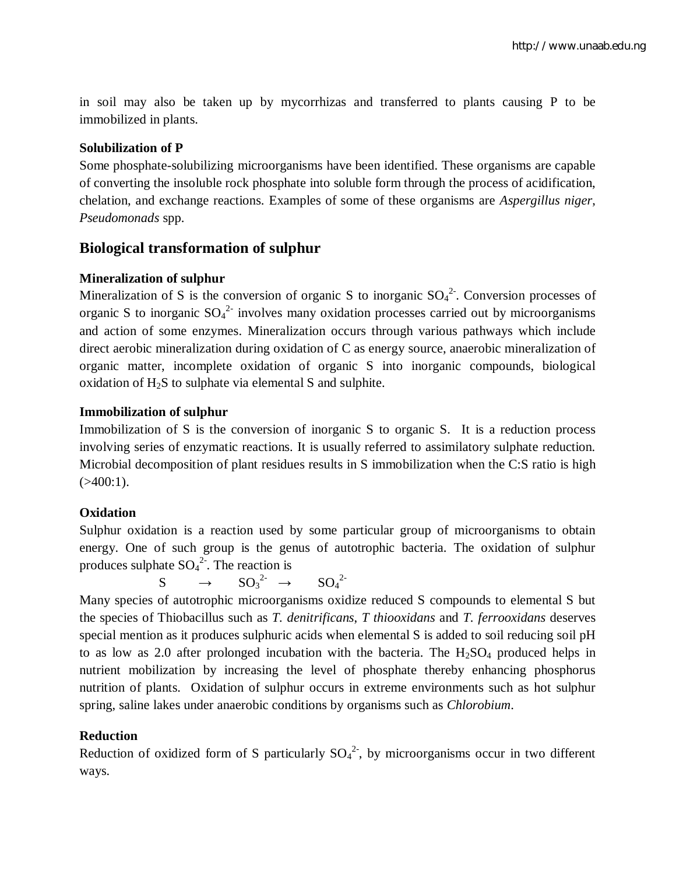in soil may also be taken up by mycorrhizas and transferred to plants causing P to be immobilized in plants.

# **Solubilization of P**

Some phosphate-solubilizing microorganisms have been identified. These organisms are capable of converting the insoluble rock phosphate into soluble form through the process of acidification, chelation, and exchange reactions. Examples of some of these organisms are *Aspergillus niger*, *Pseudomonads* spp.

# **Biological transformation of sulphur**

# **Mineralization of sulphur**

Mineralization of S is the conversion of organic S to inorganic  $SO_4^2$ . Conversion processes of organic S to inorganic  $SO_4^2$  involves many oxidation processes carried out by microorganisms and action of some enzymes. Mineralization occurs through various pathways which include direct aerobic mineralization during oxidation of C as energy source, anaerobic mineralization of organic matter, incomplete oxidation of organic S into inorganic compounds, biological oxidation of  $H_2S$  to sulphate via elemental S and sulphite.

# **Immobilization of sulphur**

Immobilization of S is the conversion of inorganic S to organic S. It is a reduction process involving series of enzymatic reactions. It is usually referred to assimilatory sulphate reduction. Microbial decomposition of plant residues results in S immobilization when the C:S ratio is high  $( >400:1).$ 

# **Oxidation**

Sulphur oxidation is a reaction used by some particular group of microorganisms to obtain energy. One of such group is the genus of autotrophic bacteria. The oxidation of sulphur produces sulphate  $SO_4^2$ . The reaction is

 $S \rightarrow SO_3^{2-} \rightarrow SO_4$  $SO<sub>4</sub><sup>2</sup>$ 

Many species of autotrophic microorganisms oxidize reduced S compounds to elemental S but the species of Thiobacillus such as *T. denitrificans*, *T thiooxidans* and *T. ferrooxidans* deserves special mention as it produces sulphuric acids when elemental S is added to soil reducing soil pH to as low as 2.0 after prolonged incubation with the bacteria. The  $H_2SO_4$  produced helps in nutrient mobilization by increasing the level of phosphate thereby enhancing phosphorus nutrition of plants. Oxidation of sulphur occurs in extreme environments such as hot sulphur spring, saline lakes under anaerobic conditions by organisms such as *Chlorobium*.

# **Reduction**

Reduction of oxidized form of S particularly  $SO_4^2$ , by microorganisms occur in two different ways.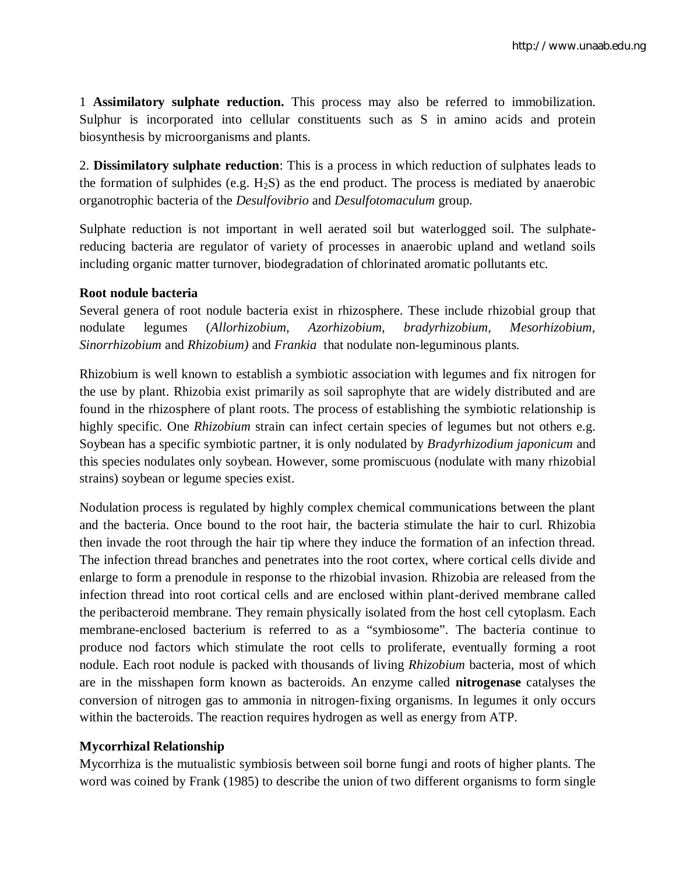1 **Assimilatory sulphate reduction.** This process may also be referred to immobilization. Sulphur is incorporated into cellular constituents such as S in amino acids and protein biosynthesis by microorganisms and plants.

2. **Dissimilatory sulphate reduction**: This is a process in which reduction of sulphates leads to the formation of sulphides (e.g.  $H_2S$ ) as the end product. The process is mediated by anaerobic organotrophic bacteria of the *Desulfovibrio* and *Desulfotomaculum* group.

Sulphate reduction is not important in well aerated soil but waterlogged soil. The sulphatereducing bacteria are regulator of variety of processes in anaerobic upland and wetland soils including organic matter turnover, biodegradation of chlorinated aromatic pollutants etc.

## **Root nodule bacteria**

Several genera of root nodule bacteria exist in rhizosphere. These include rhizobial group that nodulate legumes (*Allorhizobium, Azorhizobium, bradyrhizobium, Mesorhizobium, Sinorrhizobium* and *Rhizobium)* and *Frankia* that nodulate non-leguminous plants*.*

Rhizobium is well known to establish a symbiotic association with legumes and fix nitrogen for the use by plant. Rhizobia exist primarily as soil saprophyte that are widely distributed and are found in the rhizosphere of plant roots. The process of establishing the symbiotic relationship is highly specific. One *Rhizobium* strain can infect certain species of legumes but not others e.g. Soybean has a specific symbiotic partner, it is only nodulated by *Bradyrhizodium japonicum* and this species nodulates only soybean. However, some promiscuous (nodulate with many rhizobial strains) soybean or legume species exist.

Nodulation process is regulated by highly complex chemical communications between the plant and the bacteria. Once bound to the root hair, the bacteria stimulate the hair to curl. Rhizobia then invade the root through the hair tip where they induce the formation of an infection thread. The infection thread branches and penetrates into the root cortex, where cortical cells divide and enlarge to form a prenodule in response to the rhizobial invasion. Rhizobia are released from the infection thread into root cortical cells and are enclosed within plant-derived membrane called the peribacteroid membrane. They remain physically isolated from the host cell cytoplasm. Each membrane-enclosed bacterium is referred to as a "symbiosome". The bacteria continue to produce nod factors which stimulate the root cells to proliferate, eventually forming a root nodule. Each root nodule is packed with thousands of living *Rhizobium* bacteria, most of which are in the misshapen form known as bacteroids. An enzyme called **nitrogenase** catalyses the conversion of nitrogen gas to ammonia in nitrogen-fixing organisms. In legumes it only occurs within the bacteroids. The reaction requires hydrogen as well as energy from ATP.

# **Mycorrhizal Relationship**

Mycorrhiza is the mutualistic symbiosis between soil borne fungi and roots of higher plants. The word was coined by Frank (1985) to describe the union of two different organisms to form single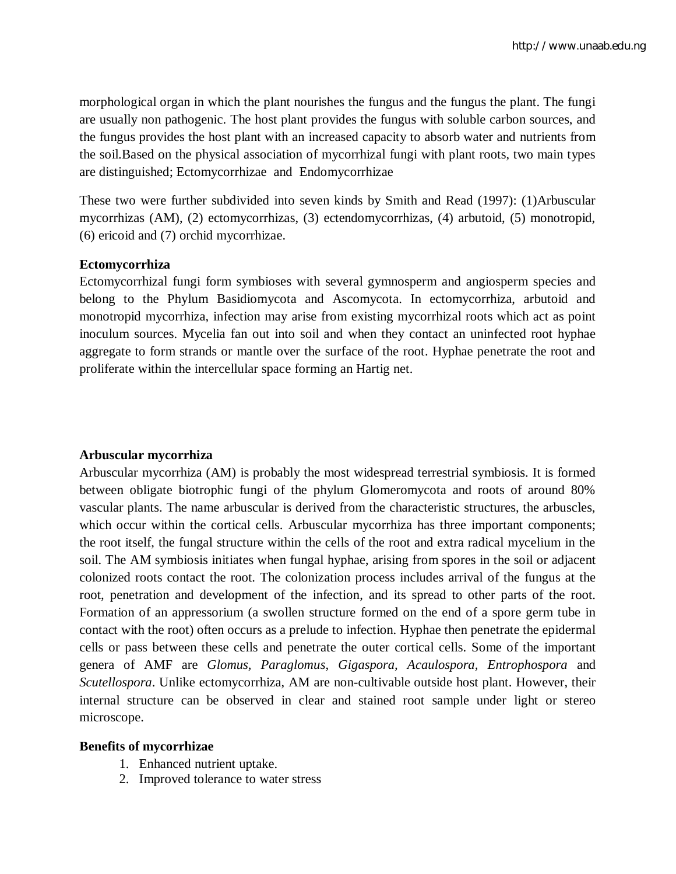morphological organ in which the plant nourishes the fungus and the fungus the plant. The fungi are usually non pathogenic. The host plant provides the fungus with soluble carbon sources, and the fungus provides the host plant with an increased capacity to absorb water and nutrients from the soil.Based on the physical association of mycorrhizal fungi with plant roots, two main types are distinguished; Ectomycorrhizae and Endomycorrhizae

These two were further subdivided into seven kinds by Smith and Read (1997): (1)Arbuscular mycorrhizas (AM), (2) ectomycorrhizas, (3) ectendomycorrhizas, (4) arbutoid, (5) monotropid, (6) ericoid and (7) orchid mycorrhizae.

## **Ectomycorrhiza**

Ectomycorrhizal fungi form symbioses with several gymnosperm and angiosperm species and belong to the Phylum Basidiomycota and Ascomycota. In ectomycorrhiza, arbutoid and monotropid mycorrhiza, infection may arise from existing mycorrhizal roots which act as point inoculum sources. Mycelia fan out into soil and when they contact an uninfected root hyphae aggregate to form strands or mantle over the surface of the root. Hyphae penetrate the root and proliferate within the intercellular space forming an Hartig net.

## **Arbuscular mycorrhiza**

Arbuscular mycorrhiza (AM) is probably the most widespread terrestrial symbiosis. It is formed between obligate biotrophic fungi of the phylum Glomeromycota and roots of around 80% vascular plants. The name arbuscular is derived from the characteristic structures, the arbuscles, which occur within the cortical cells. Arbuscular mycorrhiza has three important components; the root itself, the fungal structure within the cells of the root and extra radical mycelium in the soil. The AM symbiosis initiates when fungal hyphae, arising from spores in the soil or adjacent colonized roots contact the root. The colonization process includes arrival of the fungus at the root, penetration and development of the infection, and its spread to other parts of the root. Formation of an appressorium (a swollen structure formed on the end of a spore germ tube in contact with the root) often occurs as a prelude to infection. Hyphae then penetrate the epidermal cells or pass between these cells and penetrate the outer cortical cells. Some of the important genera of AMF are *Glomus, Paraglomus*, *Gigaspora, Acaulospora, Entrophospora* and *Scutellospora*. Unlike ectomycorrhiza, AM are non-cultivable outside host plant. However, their internal structure can be observed in clear and stained root sample under light or stereo microscope.

## **Benefits of mycorrhizae**

- 1. Enhanced nutrient uptake.
- 2. Improved tolerance to water stress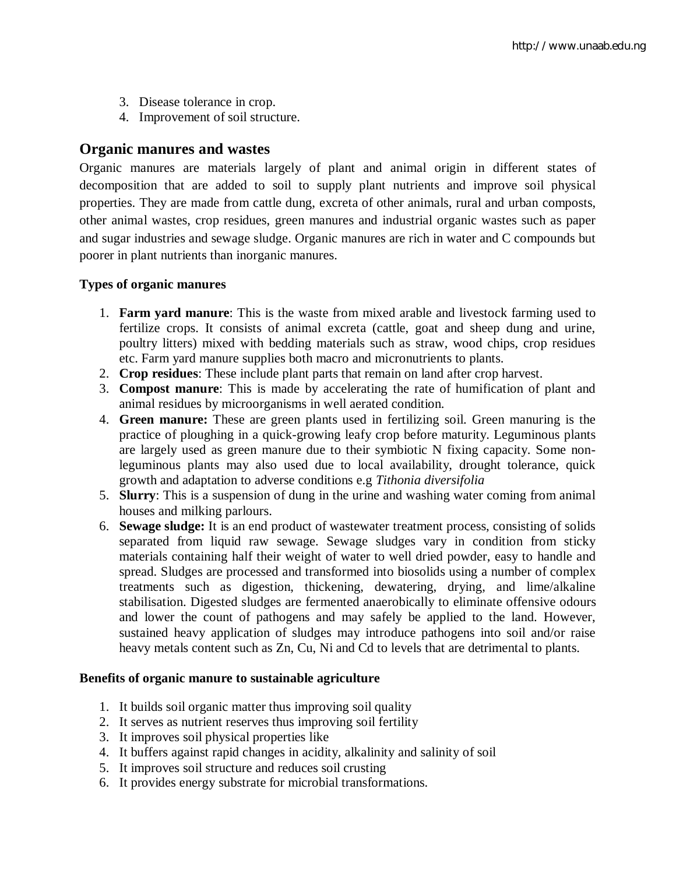- 3. Disease tolerance in crop.
- 4. Improvement of soil structure.

# **Organic manures and wastes**

Organic manures are materials largely of plant and animal origin in different states of decomposition that are added to soil to supply plant nutrients and improve soil physical properties. They are made from cattle dung, excreta of other animals, rural and urban composts, other animal wastes, crop residues, green manures and industrial organic wastes such as paper and sugar industries and sewage sludge. Organic manures are rich in water and C compounds but poorer in plant nutrients than inorganic manures.

## **Types of organic manures**

- 1. **Farm yard manure**: This is the waste from mixed arable and livestock farming used to fertilize crops. It consists of animal excreta (cattle, goat and sheep dung and urine, poultry litters) mixed with bedding materials such as straw, wood chips, crop residues etc. Farm yard manure supplies both macro and micronutrients to plants.
- 2. **Crop residues**: These include plant parts that remain on land after crop harvest.
- 3. **Compost manure**: This is made by accelerating the rate of humification of plant and animal residues by microorganisms in well aerated condition.
- 4. **Green manure:** These are green plants used in fertilizing soil. Green manuring is the practice of ploughing in a quick-growing leafy crop before maturity. Leguminous plants are largely used as green manure due to their symbiotic N fixing capacity. Some nonleguminous plants may also used due to local availability, drought tolerance, quick growth and adaptation to adverse conditions e.g *Tithonia diversifolia*
- 5. **Slurry**: This is a suspension of dung in the urine and washing water coming from animal houses and milking parlours.
- 6. **Sewage sludge:** It is an end product of wastewater treatment process, consisting of solids separated from liquid raw sewage. Sewage sludges vary in condition from sticky materials containing half their weight of water to well dried powder, easy to handle and spread. Sludges are processed and transformed into biosolids using a number of complex treatments such as digestion, thickening, dewatering, drying, and lime/alkaline stabilisation. Digested sludges are fermented anaerobically to eliminate offensive odours and lower the count of pathogens and may safely be applied to the land. However, sustained heavy application of sludges may introduce pathogens into soil and/or raise heavy metals content such as Zn, Cu, Ni and Cd to levels that are detrimental to plants.

## **Benefits of organic manure to sustainable agriculture**

- 1. It builds soil organic matter thus improving soil quality
- 2. It serves as nutrient reserves thus improving soil fertility
- 3. It improves soil physical properties like
- 4. It buffers against rapid changes in acidity, alkalinity and salinity of soil
- 5. It improves soil structure and reduces soil crusting
- 6. It provides energy substrate for microbial transformations.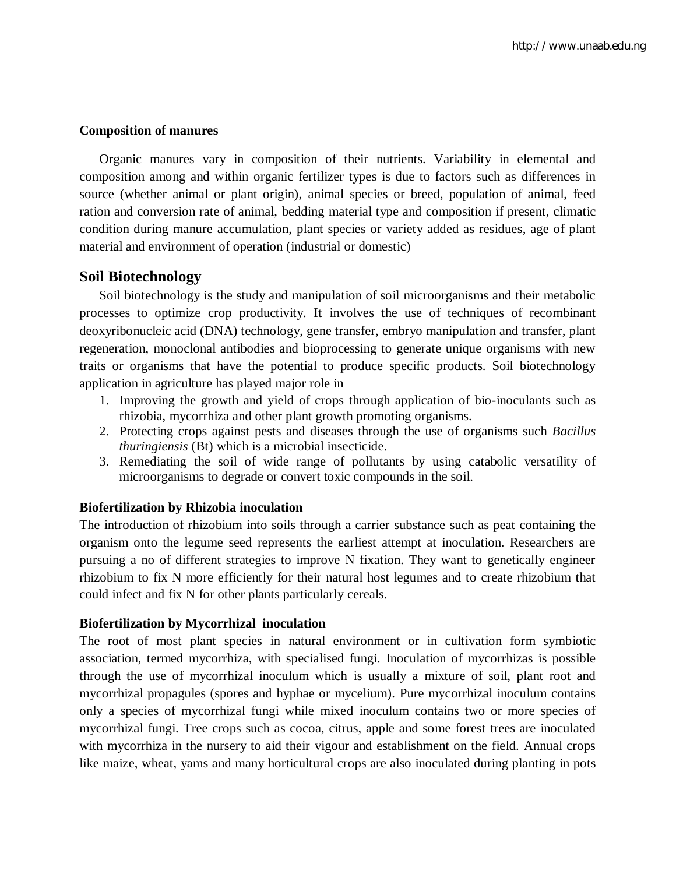## **Composition of manures**

Organic manures vary in composition of their nutrients. Variability in elemental and composition among and within organic fertilizer types is due to factors such as differences in source (whether animal or plant origin), animal species or breed, population of animal, feed ration and conversion rate of animal, bedding material type and composition if present, climatic condition during manure accumulation, plant species or variety added as residues, age of plant material and environment of operation (industrial or domestic)

# **Soil Biotechnology**

Soil biotechnology is the study and manipulation of soil microorganisms and their metabolic processes to optimize crop productivity. It involves the use of techniques of recombinant deoxyribonucleic acid (DNA) technology, gene transfer, embryo manipulation and transfer, plant regeneration, monoclonal antibodies and bioprocessing to generate unique organisms with new traits or organisms that have the potential to produce specific products. Soil biotechnology application in agriculture has played major role in

- 1. Improving the growth and yield of crops through application of bio-inoculants such as rhizobia, mycorrhiza and other plant growth promoting organisms.
- 2. Protecting crops against pests and diseases through the use of organisms such *Bacillus thuringiensis* (Bt) which is a microbial insecticide.
- 3. Remediating the soil of wide range of pollutants by using catabolic versatility of microorganisms to degrade or convert toxic compounds in the soil.

## **Biofertilization by Rhizobia inoculation**

The introduction of rhizobium into soils through a carrier substance such as peat containing the organism onto the legume seed represents the earliest attempt at inoculation. Researchers are pursuing a no of different strategies to improve N fixation. They want to genetically engineer rhizobium to fix N more efficiently for their natural host legumes and to create rhizobium that could infect and fix N for other plants particularly cereals.

## **Biofertilization by Mycorrhizal inoculation**

The root of most plant species in natural environment or in cultivation form symbiotic association, termed mycorrhiza, with specialised fungi. Inoculation of mycorrhizas is possible through the use of mycorrhizal inoculum which is usually a mixture of soil, plant root and mycorrhizal propagules (spores and hyphae or mycelium). Pure mycorrhizal inoculum contains only a species of mycorrhizal fungi while mixed inoculum contains two or more species of mycorrhizal fungi. Tree crops such as cocoa, citrus, apple and some forest trees are inoculated with mycorrhiza in the nursery to aid their vigour and establishment on the field. Annual crops like maize, wheat, yams and many horticultural crops are also inoculated during planting in pots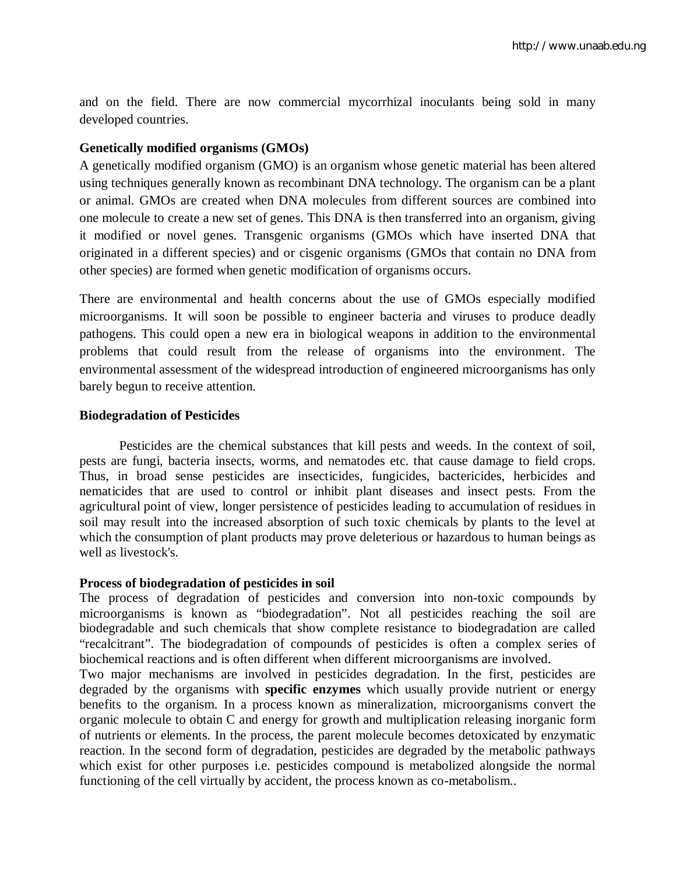and on the field. There are now commercial mycorrhizal inoculants being sold in many developed countries.

## **Genetically modified organisms (GMOs)**

A genetically modified organism (GMO) is an organism whose genetic material has been altered using techniques generally known as recombinant DNA technology. The organism can be a plant or animal. GMOs are created when DNA molecules from different sources are combined into one molecule to create a new set of genes. This DNA is then transferred into an organism, giving it modified or novel genes. Transgenic organisms (GMOs which have inserted DNA that originated in a different species) and or cisgenic organisms (GMOs that contain no DNA from other species) are formed when genetic modification of organisms occurs.

There are environmental and health concerns about the use of GMOs especially modified microorganisms. It will soon be possible to engineer bacteria and viruses to produce deadly pathogens. This could open a new era in biological weapons in addition to the environmental problems that could result from the release of organisms into the environment. The environmental assessment of the widespread introduction of engineered microorganisms has only barely begun to receive attention.

## **Biodegradation of Pesticides**

Pesticides are the chemical substances that kill pests and weeds. In the context of soil, pests are fungi, bacteria insects, worms, and nematodes etc. that cause damage to field crops. Thus, in broad sense pesticides are insecticides, fungicides, bactericides, herbicides and nematicides that are used to control or inhibit plant diseases and insect pests. From the agricultural point of view, longer persistence of pesticides leading to accumulation of residues in soil may result into the increased absorption of such toxic chemicals by plants to the level at which the consumption of plant products may prove deleterious or hazardous to human beings as well as livestock's.

## **Process of biodegradation of pesticides in soil**

The process of degradation of pesticides and conversion into non-toxic compounds by microorganisms is known as "biodegradation". Not all pesticides reaching the soil are biodegradable and such chemicals that show complete resistance to biodegradation are called "recalcitrant". The biodegradation of compounds of pesticides is often a complex series of biochemical reactions and is often different when different microorganisms are involved.

Two major mechanisms are involved in pesticides degradation. In the first, pesticides are degraded by the organisms with **specific enzymes** which usually provide nutrient or energy benefits to the organism. In a process known as mineralization, microorganisms convert the organic molecule to obtain C and energy for growth and multiplication releasing inorganic form of nutrients or elements. In the process, the parent molecule becomes detoxicated by enzymatic reaction. In the second form of degradation, pesticides are degraded by the metabolic pathways which exist for other purposes i.e. pesticides compound is metabolized alongside the normal functioning of the cell virtually by accident, the process known as co-metabolism..